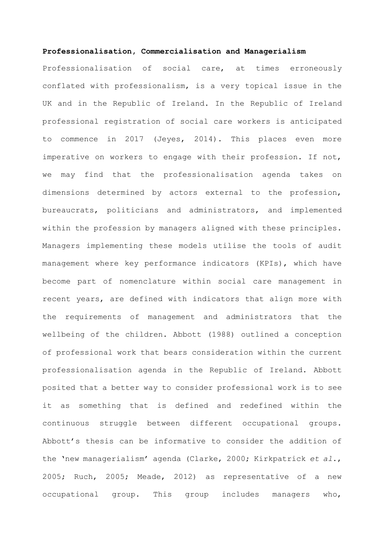## **Professionalisation, Commercialisation and Managerialism**

Professionalisation of social care, at times erroneously conflated with professionalism, is a very topical issue in the UK and in the Republic of Ireland. In the Republic of Ireland professional registration of social care workers is anticipated to commence in 2017 (Jeyes, 2014). This places even more imperative on workers to engage with their profession. If not, we may find that the professionalisation agenda takes on dimensions determined by actors external to the profession, bureaucrats, politicians and administrators, and implemented within the profession by managers aligned with these principles. Managers implementing these models utilise the tools of audit management where key performance indicators (KPIs), which have become part of nomenclature within social care management in recent years, are defined with indicators that align more with the requirements of management and administrators that the wellbeing of the children. Abbott (1988) outlined a conception of professional work that bears consideration within the current professionalisation agenda in the Republic of Ireland. Abbott posited that a better way to consider professional work is to see it as something that is defined and redefined within the continuous struggle between different occupational groups. Abbott's thesis can be informative to consider the addition of the 'new managerialism' agenda (Clarke, 2000; Kirkpatrick *et al*., 2005; Ruch, 2005; Meade, 2012) as representative of a new occupational group. This group includes managers who,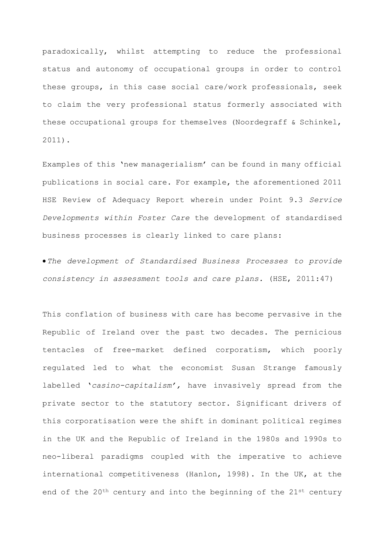paradoxically, whilst attempting to reduce the professional status and autonomy of occupational groups in order to control these groups, in this case social care/work professionals, seek to claim the very professional status formerly associated with these occupational groups for themselves (Noordegraff & Schinkel, 2011).

Examples of this 'new managerialism' can be found in many official publications in social care. For example, the aforementioned 2011 HSE Review of Adequacy Report wherein under Point 9.3 *Service Developments within Foster Care* the development of standardised business processes is clearly linked to care plans:

•*The development of Standardised Business Processes to provide consistency in assessment tools and care plans.* (HSE, 2011:47)

This conflation of business with care has become pervasive in the Republic of Ireland over the past two decades. The pernicious tentacles of free-market defined corporatism, which poorly regulated led to what the economist Susan Strange famously labelled '*casino-capitalism',* have invasively spread from the private sector to the statutory sector. Significant drivers of this corporatisation were the shift in dominant political regimes in the UK and the Republic of Ireland in the 1980s and 1990s to neo-liberal paradigms coupled with the imperative to achieve international competitiveness (Hanlon, 1998). In the UK, at the end of the 20<sup>th</sup> century and into the beginning of the 21<sup>st</sup> century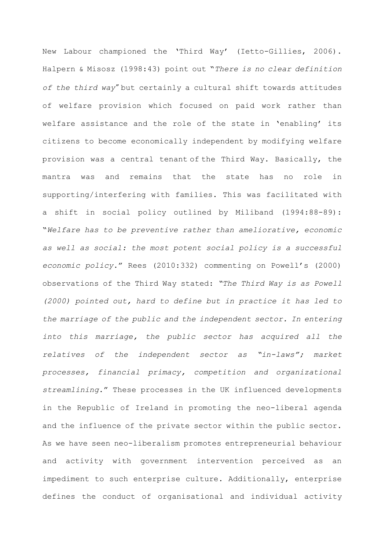New Labour championed the 'Third Way' (Ietto-Gillies, 2006). Halpern & Misosz (1998:43) point out "*There is no clear definition of the third way"* but certainly a cultural shift towards attitudes of welfare provision which focused on paid work rather than welfare assistance and the role of the state in 'enabling' its citizens to become economically independent by modifying welfare provision was a central tenant of the Third Way. Basically, the mantra was and remains that the state has no role in supporting/interfering with families. This was facilitated with a shift in social policy outlined by Miliband (1994:88-89): "*Welfare has to be preventive rather than ameliorative, economic as well as social: the most potent social policy is a successful economic policy*." Rees (2010:332) commenting on Powell's (2000) observations of the Third Way stated: *"The Third Way is as Powell (2000) pointed out, hard to define but in practice it has led to the marriage of the public and the independent sector. In entering into this marriage, the public sector has acquired all the relatives of the independent sector as "in-laws"; market processes, financial primacy, competition and organizational streamlining*." These processes in the UK influenced developments in the Republic of Ireland in promoting the neo-liberal agenda and the influence of the private sector within the public sector. As we have seen neo-liberalism promotes entrepreneurial behaviour and activity with government intervention perceived as an impediment to such enterprise culture. Additionally, enterprise defines the conduct of organisational and individual activity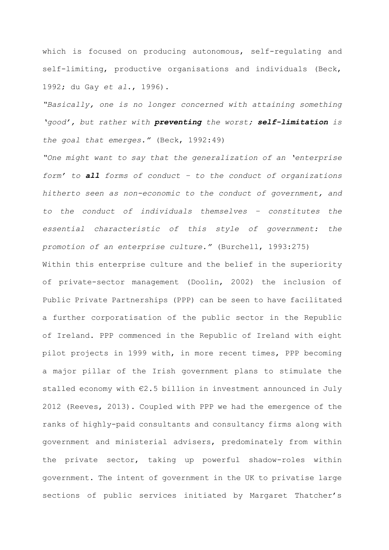which is focused on producing autonomous, self-regulating and self-limiting, productive organisations and individuals (Beck, 1992; du Gay *et al*., 1996).

*"Basically, one is no longer concerned with attaining something 'good', but rather with preventing the worst; self-limitation is the goal that emerges."* (Beck, 1992:49)

*"One might want to say that the generalization of an 'enterprise form' to all forms of conduct – to the conduct of organizations hitherto seen as non-economic to the conduct of government, and to the conduct of individuals themselves – constitutes the essential characteristic of this style of government: the promotion of an enterprise culture."* (Burchell, 1993:275)

Within this enterprise culture and the belief in the superiority of private-sector management (Doolin, 2002) the inclusion of Public Private Partnerships (PPP) can be seen to have facilitated a further corporatisation of the public sector in the Republic of Ireland. PPP commenced in the Republic of Ireland with eight pilot projects in 1999 with, in more recent times, PPP becoming a major pillar of the Irish government plans to stimulate the stalled economy with €2.5 billion in investment announced in July 2012 (Reeves, 2013). Coupled with PPP we had the emergence of the ranks of highly-paid consultants and consultancy firms along with government and ministerial advisers, predominately from within the private sector, taking up powerful shadow-roles within government. The intent of government in the UK to privatise large sections of public services initiated by Margaret Thatcher's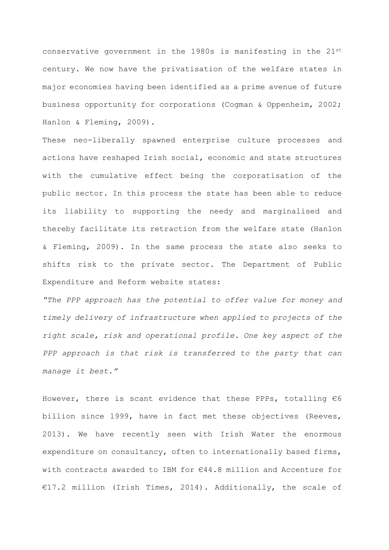conservative government in the 1980s is manifesting in the  $21^{st}$ century. We now have the privatisation of the welfare states in major economies having been identified as a prime avenue of future business opportunity for corporations (Cogman & Oppenheim, 2002; Hanlon & Fleming, 2009).

These neo-liberally spawned enterprise culture processes and actions have reshaped Irish social, economic and state structures with the cumulative effect being the corporatisation of the public sector. In this process the state has been able to reduce its liability to supporting the needy and marginalised and thereby facilitate its retraction from the welfare state (Hanlon & Fleming, 2009). In the same process the state also seeks to shifts risk to the private sector. The Department of Public Expenditure and Reform website states:

*"The PPP approach has the potential to offer value for money and timely delivery of infrastructure when applied to projects of the right scale, risk and operational profile. One key aspect of the PPP approach is that risk is transferred to the party that can manage it best."* 

However, there is scant evidence that these PPPs, totalling  $€6$ billion since 1999, have in fact met these objectives (Reeves, 2013). We have recently seen with Irish Water the enormous expenditure on consultancy, often to internationally based firms, with contracts awarded to IBM for €44.8 million and Accenture for €17.2 million (Irish Times, 2014). Additionally, the scale of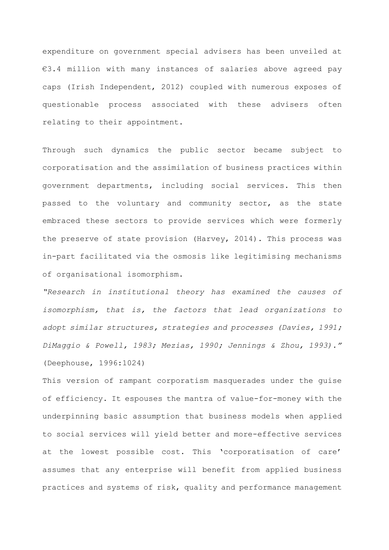expenditure on government special advisers has been unveiled at €3.4 million with many instances of salaries above agreed pay caps (Irish Independent, 2012) coupled with numerous exposes of questionable process associated with these advisers often relating to their appointment.

Through such dynamics the public sector became subject to corporatisation and the assimilation of business practices within government departments, including social services. This then passed to the voluntary and community sector, as the state embraced these sectors to provide services which were formerly the preserve of state provision (Harvey, 2014). This process was in-part facilitated via the osmosis like legitimising mechanisms of organisational isomorphism.

*"Research in institutional theory has examined the causes of isomorphism, that is, the factors that lead organizations to adopt similar structures, strategies and processes (Davies, 1991; DiMaggio & Powell, 1983; Mezias, 1990; Jennings & Zhou, 1993)."*  (Deephouse, 1996:1024)

This version of rampant corporatism masquerades under the guise of efficiency. It espouses the mantra of value-for-money with the underpinning basic assumption that business models when applied to social services will yield better and more-effective services at the lowest possible cost. This 'corporatisation of care' assumes that any enterprise will benefit from applied business practices and systems of risk, quality and performance management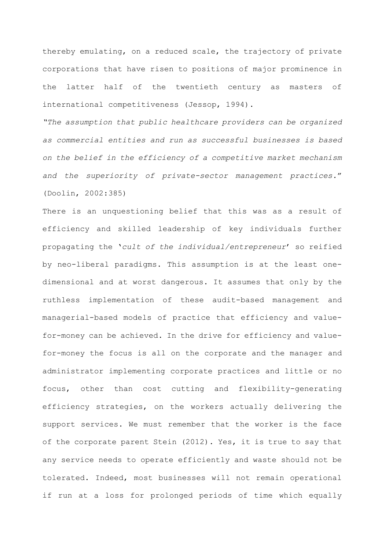thereby emulating, on a reduced scale, the trajectory of private corporations that have risen to positions of major prominence in the latter half of the twentieth century as masters of international competitiveness (Jessop, 1994).

*"The assumption that public healthcare providers can be organized as commercial entities and run as successful businesses is based on the belief in the efficiency of a competitive market mechanism and the superiority of private-sector management practices.*" (Doolin, 2002:385)

There is an unquestioning belief that this was as a result of efficiency and skilled leadership of key individuals further propagating the '*cult of the individual/entrepreneur*' so reified by neo-liberal paradigms. This assumption is at the least onedimensional and at worst dangerous. It assumes that only by the ruthless implementation of these audit-based management and managerial-based models of practice that efficiency and valuefor-money can be achieved. In the drive for efficiency and valuefor-money the focus is all on the corporate and the manager and administrator implementing corporate practices and little or no focus, other than cost cutting and flexibility-generating efficiency strategies, on the workers actually delivering the support services. We must remember that the worker is the face of the corporate parent Stein (2012). Yes, it is true to say that any service needs to operate efficiently and waste should not be tolerated. Indeed, most businesses will not remain operational if run at a loss for prolonged periods of time which equally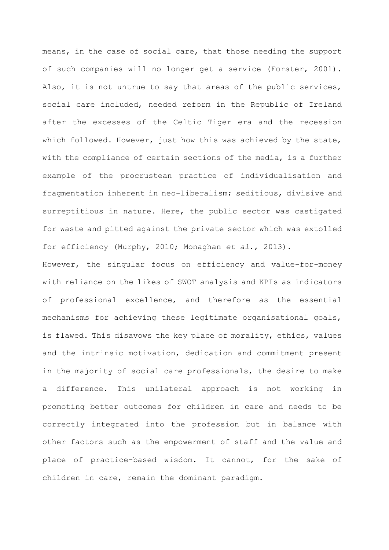means, in the case of social care, that those needing the support of such companies will no longer get a service (Forster, 2001). Also, it is not untrue to say that areas of the public services, social care included, needed reform in the Republic of Ireland after the excesses of the Celtic Tiger era and the recession which followed. However, just how this was achieved by the state, with the compliance of certain sections of the media, is a further example of the procrustean practice of individualisation and fragmentation inherent in neo-liberalism; seditious, divisive and surreptitious in nature. Here, the public sector was castigated for waste and pitted against the private sector which was extolled for efficiency (Murphy, 2010; Monaghan *et al*., 2013).

However, the singular focus on efficiency and value-for-money with reliance on the likes of SWOT analysis and KPIs as indicators of professional excellence, and therefore as the essential mechanisms for achieving these legitimate organisational goals, is flawed. This disavows the key place of morality, ethics, values and the intrinsic motivation, dedication and commitment present in the majority of social care professionals, the desire to make a difference. This unilateral approach is not working in promoting better outcomes for children in care and needs to be correctly integrated into the profession but in balance with other factors such as the empowerment of staff and the value and place of practice-based wisdom. It cannot, for the sake of children in care, remain the dominant paradigm.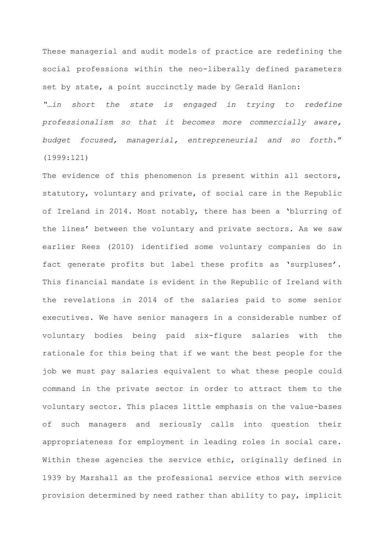These managerial and audit models of practice are redefining the social professions within the neo-liberally defined parameters set by state, a point succinctly made by Gerald Hanlon:

*"…in short the state is engaged in trying to redefine professionalism so that it becomes more commercially aware, budget focused, managerial, entrepreneurial and so forth*." (1999:121)

The evidence of this phenomenon is present within all sectors, statutory, voluntary and private, of social care in the Republic of Ireland in 2014. Most notably, there has been a 'blurring of the lines' between the voluntary and private sectors. As we saw earlier Rees (2010) identified some voluntary companies do in fact generate profits but label these profits as 'surpluses'. This financial mandate is evident in the Republic of Ireland with the revelations in 2014 of the salaries paid to some senior executives. We have senior managers in a considerable number of voluntary bodies being paid six-figure salaries with the rationale for this being that if we want the best people for the job we must pay salaries equivalent to what these people could command in the private sector in order to attract them to the voluntary sector. This places little emphasis on the value-bases of such managers and seriously calls into question their appropriateness for employment in leading roles in social care. Within these agencies the service ethic, originally defined in 1939 by Marshall as the professional service ethos with service provision determined by need rather than ability to pay, implicit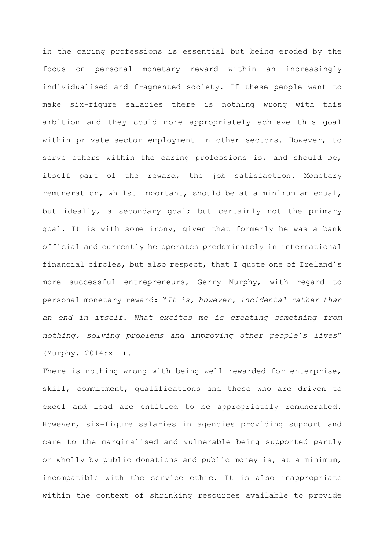in the caring professions is essential but being eroded by the focus on personal monetary reward within an increasingly individualised and fragmented society. If these people want to make six-figure salaries there is nothing wrong with this ambition and they could more appropriately achieve this goal within private-sector employment in other sectors. However, to serve others within the caring professions is, and should be, itself part of the reward, the job satisfaction. Monetary remuneration, whilst important, should be at a minimum an equal, but ideally, a secondary goal; but certainly not the primary goal. It is with some irony, given that formerly he was a bank official and currently he operates predominately in international financial circles, but also respect, that I quote one of Ireland's more successful entrepreneurs, Gerry Murphy, with regard to personal monetary reward: "*It is, however, incidental rather than an end in itself. What excites me is creating something from nothing, solving problems and improving other people's lives*" (Murphy, 2014:xii).

There is nothing wrong with being well rewarded for enterprise, skill, commitment, qualifications and those who are driven to excel and lead are entitled to be appropriately remunerated. However, six-figure salaries in agencies providing support and care to the marginalised and vulnerable being supported partly or wholly by public donations and public money is, at a minimum, incompatible with the service ethic. It is also inappropriate within the context of shrinking resources available to provide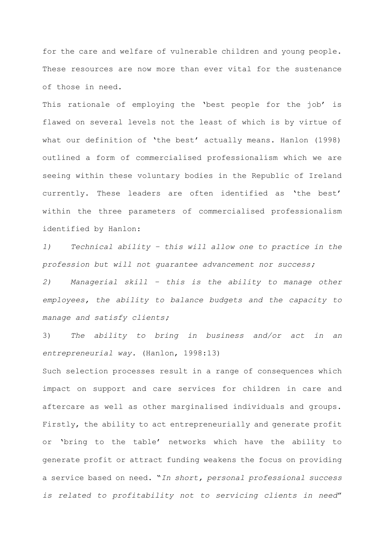for the care and welfare of vulnerable children and young people. These resources are now more than ever vital for the sustenance of those in need.

This rationale of employing the 'best people for the job' is flawed on several levels not the least of which is by virtue of what our definition of 'the best' actually means. Hanlon (1998) outlined a form of commercialised professionalism which we are seeing within these voluntary bodies in the Republic of Ireland currently. These leaders are often identified as 'the best' within the three parameters of commercialised professionalism identified by Hanlon:

*1) Technical ability – this will allow one to practice in the profession but will not guarantee advancement nor success;*

*2) Managerial skill – this is the ability to manage other employees, the ability to balance budgets and the capacity to manage and satisfy clients;*

3) *The ability to bring in business and/or act in an entrepreneurial way.* (Hanlon, 1998:13)

Such selection processes result in a range of consequences which impact on support and care services for children in care and aftercare as well as other marginalised individuals and groups. Firstly, the ability to act entrepreneurially and generate profit or 'bring to the table' networks which have the ability to generate profit or attract funding weakens the focus on providing a service based on need. "*In short, personal professional success is related to profitability not to servicing clients in need*"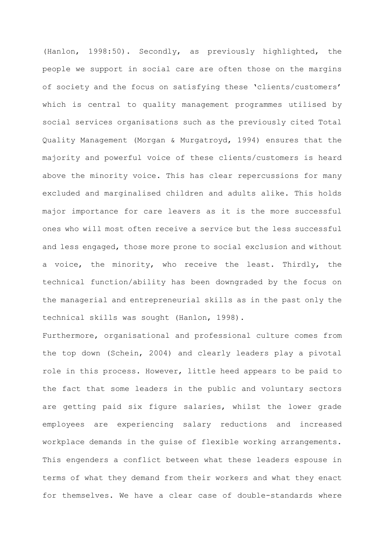(Hanlon, 1998:50). Secondly, as previously highlighted, the people we support in social care are often those on the margins of society and the focus on satisfying these 'clients/customers' which is central to quality management programmes utilised by social services organisations such as the previously cited Total Quality Management (Morgan & Murgatroyd, 1994) ensures that the majority and powerful voice of these clients/customers is heard above the minority voice. This has clear repercussions for many excluded and marginalised children and adults alike. This holds major importance for care leavers as it is the more successful ones who will most often receive a service but the less successful and less engaged, those more prone to social exclusion and without a voice, the minority, who receive the least. Thirdly, the technical function/ability has been downgraded by the focus on the managerial and entrepreneurial skills as in the past only the technical skills was sought (Hanlon, 1998).

Furthermore, organisational and professional culture comes from the top down (Schein, 2004) and clearly leaders play a pivotal role in this process. However, little heed appears to be paid to the fact that some leaders in the public and voluntary sectors are getting paid six figure salaries, whilst the lower grade employees are experiencing salary reductions and increased workplace demands in the guise of flexible working arrangements. This engenders a conflict between what these leaders espouse in terms of what they demand from their workers and what they enact for themselves. We have a clear case of double-standards where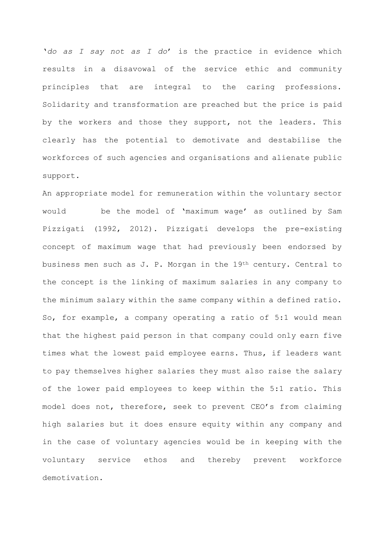'*do as I say not as I do*' is the practice in evidence which results in a disavowal of the service ethic and community principles that are integral to the caring professions. Solidarity and transformation are preached but the price is paid by the workers and those they support, not the leaders. This clearly has the potential to demotivate and destabilise the workforces of such agencies and organisations and alienate public support.

An appropriate model for remuneration within the voluntary sector would be the model of 'maximum wage' as outlined by Sam Pizzigati (1992, 2012). Pizzigati develops the pre-existing concept of maximum wage that had previously been endorsed by business men such as J. P. Morgan in the 19th century. Central to the concept is the linking of maximum salaries in any company to the minimum salary within the same company within a defined ratio. So, for example, a company operating a ratio of 5:1 would mean that the highest paid person in that company could only earn five times what the lowest paid employee earns. Thus, if leaders want to pay themselves higher salaries they must also raise the salary of the lower paid employees to keep within the 5:1 ratio. This model does not, therefore, seek to prevent CEO's from claiming high salaries but it does ensure equity within any company and in the case of voluntary agencies would be in keeping with the voluntary service ethos and thereby prevent workforce demotivation.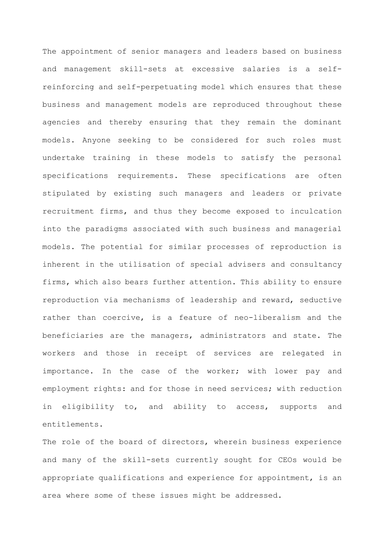The appointment of senior managers and leaders based on business and management skill-sets at excessive salaries is a selfreinforcing and self-perpetuating model which ensures that these business and management models are reproduced throughout these agencies and thereby ensuring that they remain the dominant models. Anyone seeking to be considered for such roles must undertake training in these models to satisfy the personal specifications requirements. These specifications are often stipulated by existing such managers and leaders or private recruitment firms, and thus they become exposed to inculcation into the paradigms associated with such business and managerial models. The potential for similar processes of reproduction is inherent in the utilisation of special advisers and consultancy firms, which also bears further attention. This ability to ensure reproduction via mechanisms of leadership and reward, seductive rather than coercive, is a feature of neo-liberalism and the beneficiaries are the managers, administrators and state. The workers and those in receipt of services are relegated in importance. In the case of the worker; with lower pay and employment rights: and for those in need services; with reduction in eligibility to, and ability to access, supports and entitlements.

The role of the board of directors, wherein business experience and many of the skill-sets currently sought for CEOs would be appropriate qualifications and experience for appointment, is an area where some of these issues might be addressed.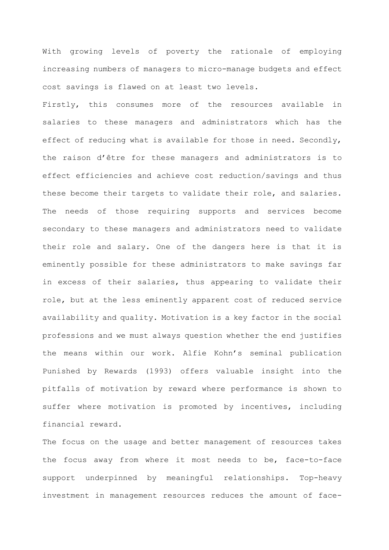With growing levels of poverty the rationale of employing increasing numbers of managers to micro-manage budgets and effect cost savings is flawed on at least two levels.

Firstly, this consumes more of the resources available in salaries to these managers and administrators which has the effect of reducing what is available for those in need. Secondly, the raison d'être for these managers and administrators is to effect efficiencies and achieve cost reduction/savings and thus these become their targets to validate their role, and salaries. The needs of those requiring supports and services become secondary to these managers and administrators need to validate their role and salary. One of the dangers here is that it is eminently possible for these administrators to make savings far in excess of their salaries, thus appearing to validate their role, but at the less eminently apparent cost of reduced service availability and quality. Motivation is a key factor in the social professions and we must always question whether the end justifies the means within our work. Alfie Kohn's seminal publication Punished by Rewards (1993) offers valuable insight into the pitfalls of motivation by reward where performance is shown to suffer where motivation is promoted by incentives, including financial reward.

The focus on the usage and better management of resources takes the focus away from where it most needs to be, face-to-face support underpinned by meaningful relationships. Top-heavy investment in management resources reduces the amount of face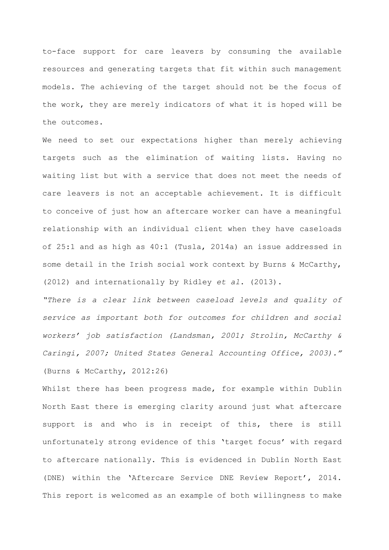to-face support for care leavers by consuming the available resources and generating targets that fit within such management models. The achieving of the target should not be the focus of the work, they are merely indicators of what it is hoped will be the outcomes.

We need to set our expectations higher than merely achieving targets such as the elimination of waiting lists. Having no waiting list but with a service that does not meet the needs of care leavers is not an acceptable achievement. It is difficult to conceive of just how an aftercare worker can have a meaningful relationship with an individual client when they have caseloads of 25:1 and as high as 40:1 (Tusla, 2014a) an issue addressed in some detail in the Irish social work context by Burns & McCarthy, (2012) and internationally by Ridley *et al*. (2013).

*"There is a clear link between caseload levels and quality of service as important both for outcomes for children and social workers' job satisfaction (Landsman, 2001; Strolin, McCarthy & Caringi, 2007; United States General Accounting Office, 2003)."* (Burns & McCarthy, 2012:26)

Whilst there has been progress made, for example within Dublin North East there is emerging clarity around just what aftercare support is and who is in receipt of this, there is still unfortunately strong evidence of this 'target focus' with regard to aftercare nationally. This is evidenced in Dublin North East (DNE) within the 'Aftercare Service DNE Review Report', 2014. This report is welcomed as an example of both willingness to make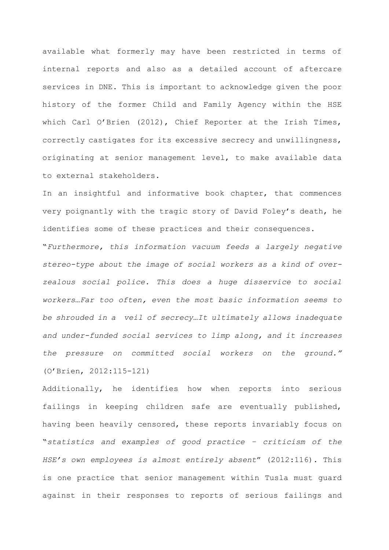available what formerly may have been restricted in terms of internal reports and also as a detailed account of aftercare services in DNE. This is important to acknowledge given the poor history of the former Child and Family Agency within the HSE which Carl O'Brien (2012), Chief Reporter at the Irish Times, correctly castigates for its excessive secrecy and unwillingness, originating at senior management level, to make available data to external stakeholders.

In an insightful and informative book chapter, that commences very poignantly with the tragic story of David Foley's death, he identifies some of these practices and their consequences.

"*Furthermore, this information vacuum feeds a largely negative stereo-type about the image of social workers as a kind of overzealous social police. This does a huge disservice to social workers*…*Far too often, even the most basic information seems to be shrouded in a veil of secrecy*…*It ultimately allows inadequate and under-funded social services to limp along, and it increases the pressure on committed social workers on the ground."* (O'Brien, 2012:115-121)

Additionally, he identifies how when reports into serious failings in keeping children safe are eventually published, having been heavily censored, these reports invariably focus on "*statistics and examples of good practice – criticism of the HSE's own employees is almost entirely absent*" (2012:116). This is one practice that senior management within Tusla must guard against in their responses to reports of serious failings and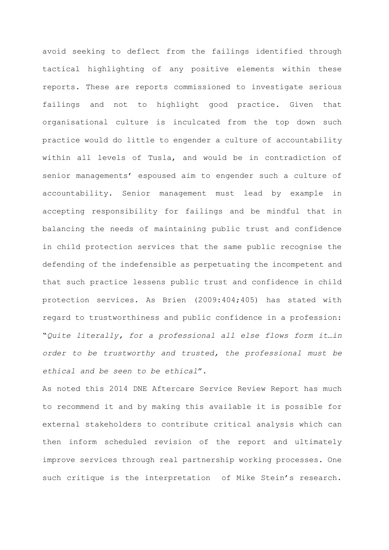avoid seeking to deflect from the failings identified through tactical highlighting of any positive elements within these reports. These are reports commissioned to investigate serious failings and not to highlight good practice. Given that organisational culture is inculcated from the top down such practice would do little to engender a culture of accountability within all levels of Tusla, and would be in contradiction of senior managements' espoused aim to engender such a culture of accountability. Senior management must lead by example in accepting responsibility for failings and be mindful that in balancing the needs of maintaining public trust and confidence in child protection services that the same public recognise the defending of the indefensible as perpetuating the incompetent and that such practice lessens public trust and confidence in child protection services. As Brien (2009:404;405) has stated with regard to trustworthiness and public confidence in a profession: "*Quite literally, for a professional all else flows form it…in order to be trustworthy and trusted, the professional must be ethical and be seen to be ethical*".

As noted this 2014 DNE Aftercare Service Review Report has much to recommend it and by making this available it is possible for external stakeholders to contribute critical analysis which can then inform scheduled revision of the report and ultimately improve services through real partnership working processes. One such critique is the interpretation of Mike Stein's research.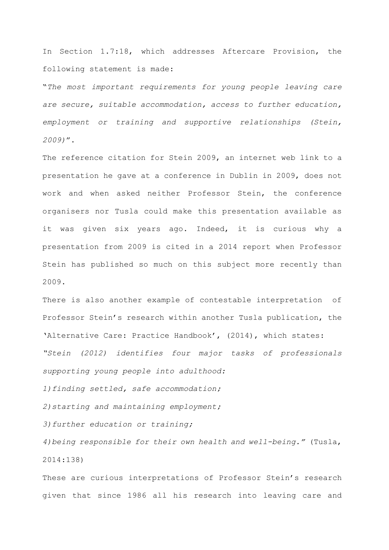In Section 1.7:18, which addresses Aftercare Provision, the following statement is made:

"*The most important requirements for young people leaving care are secure, suitable accommodation, access to further education, employment or training and supportive relationships (Stein, 2009)*".

The reference citation for Stein 2009, an internet web link to a presentation he gave at a conference in Dublin in 2009, does not work and when asked neither Professor Stein, the conference organisers nor Tusla could make this presentation available as it was given six years ago. Indeed, it is curious why a presentation from 2009 is cited in a 2014 report when Professor Stein has published so much on this subject more recently than 2009.

There is also another example of contestable interpretation of Professor Stein's research within another Tusla publication, the 'Alternative Care: Practice Handbook', (2014), which states: *"Stein (2012) identifies four major tasks of professionals supporting young people into adulthood:*

*1)finding settled, safe accommodation;*

*2)starting and maintaining employment;*

*3)further education or training;*

*4)being responsible for their own health and well-being."* (Tusla, 2014:138)

These are curious interpretations of Professor Stein's research given that since 1986 all his research into leaving care and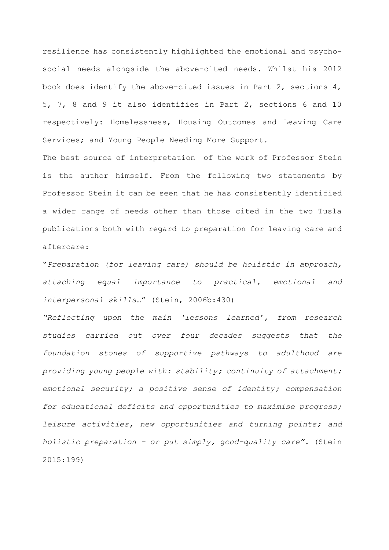resilience has consistently highlighted the emotional and psychosocial needs alongside the above-cited needs. Whilst his 2012 book does identify the above-cited issues in Part 2, sections 4, 5, 7, 8 and 9 it also identifies in Part 2, sections 6 and 10 respectively: Homelessness, Housing Outcomes and Leaving Care Services; and Young People Needing More Support.

The best source of interpretation of the work of Professor Stein is the author himself. From the following two statements by Professor Stein it can be seen that he has consistently identified a wider range of needs other than those cited in the two Tusla publications both with regard to preparation for leaving care and aftercare:

"*Preparation (for leaving care) should be holistic in approach, attaching equal importance to practical, emotional and interpersonal skills*…" (Stein, 2006b:430)

*"Reflecting upon the main 'lessons learned', from research studies carried out over four decades suggests that the foundation stones of supportive pathways to adulthood are providing young people with: stability; continuity of attachment; emotional security; a positive sense of identity; compensation for educational deficits and opportunities to maximise progress; leisure activities, new opportunities and turning points; and holistic preparation – or put simply, good-quality care".* (Stein 2015:199)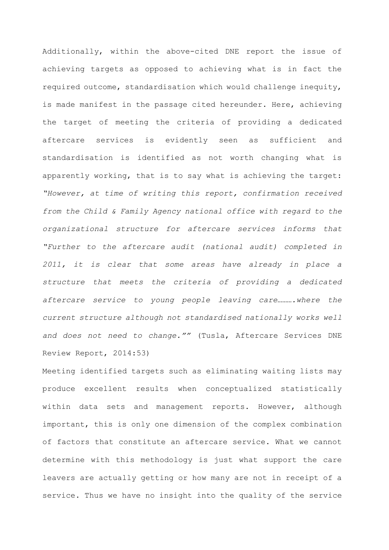Additionally, within the above-cited DNE report the issue of achieving targets as opposed to achieving what is in fact the required outcome, standardisation which would challenge inequity, is made manifest in the passage cited hereunder. Here, achieving the target of meeting the criteria of providing a dedicated aftercare services is evidently seen as sufficient and standardisation is identified as not worth changing what is apparently working, that is to say what is achieving the target: *"However, at time of writing this report, confirmation received from the Child & Family Agency national office with regard to the organizational structure for aftercare services informs that "Further to the aftercare audit (national audit) completed in 2011, it is clear that some areas have already in place a structure that meets the criteria of providing a dedicated*  aftercare service to young people leaving care..........where the *current structure although not standardised nationally works well and does not need to change.""* (Tusla, Aftercare Services DNE Review Report, 2014:53)

Meeting identified targets such as eliminating waiting lists may produce excellent results when conceptualized statistically within data sets and management reports. However, although important, this is only one dimension of the complex combination of factors that constitute an aftercare service. What we cannot determine with this methodology is just what support the care leavers are actually getting or how many are not in receipt of a service. Thus we have no insight into the quality of the service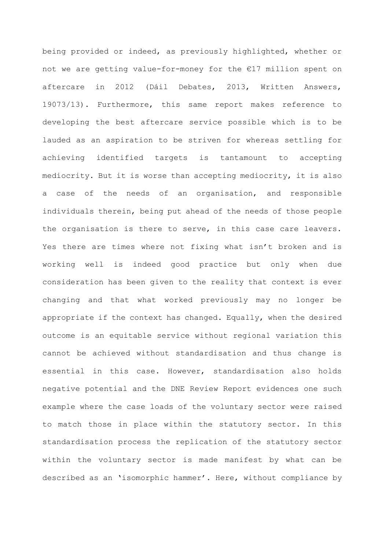being provided or indeed, as previously highlighted, whether or not we are getting value-for-money for the €17 million spent on aftercare in 2012 (Dáil Debates, 2013, Written Answers, 19073/13). Furthermore, this same report makes reference to developing the best aftercare service possible which is to be lauded as an aspiration to be striven for whereas settling for achieving identified targets is tantamount to accepting mediocrity. But it is worse than accepting mediocrity, it is also a case of the needs of an organisation, and responsible individuals therein, being put ahead of the needs of those people the organisation is there to serve, in this case care leavers. Yes there are times where not fixing what isn't broken and is working well is indeed good practice but only when due consideration has been given to the reality that context is ever changing and that what worked previously may no longer be appropriate if the context has changed. Equally, when the desired outcome is an equitable service without regional variation this cannot be achieved without standardisation and thus change is essential in this case. However, standardisation also holds negative potential and the DNE Review Report evidences one such example where the case loads of the voluntary sector were raised to match those in place within the statutory sector. In this standardisation process the replication of the statutory sector within the voluntary sector is made manifest by what can be described as an 'isomorphic hammer'. Here, without compliance by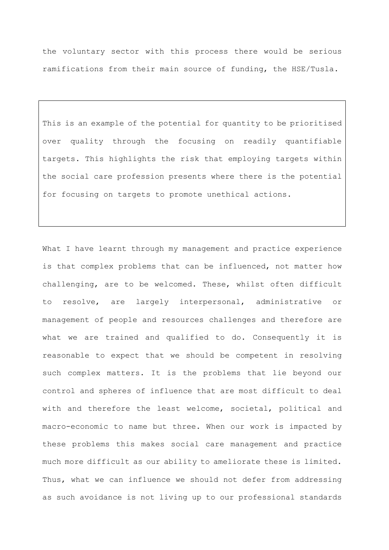the voluntary sector with this process there would be serious ramifications from their main source of funding, the HSE/Tusla.

This is an example of the potential for quantity to be prioritised over quality through the focusing on readily quantifiable targets. This highlights the risk that employing targets within the social care profession presents where there is the potential for focusing on targets to promote unethical actions.

What I have learnt through my management and practice experience is that complex problems that can be influenced, not matter how challenging, are to be welcomed. These, whilst often difficult to resolve, are largely interpersonal, administrative or management of people and resources challenges and therefore are what we are trained and qualified to do. Consequently it is reasonable to expect that we should be competent in resolving such complex matters. It is the problems that lie beyond our control and spheres of influence that are most difficult to deal with and therefore the least welcome, societal, political and macro-economic to name but three. When our work is impacted by these problems this makes social care management and practice much more difficult as our ability to ameliorate these is limited. Thus, what we can influence we should not defer from addressing as such avoidance is not living up to our professional standards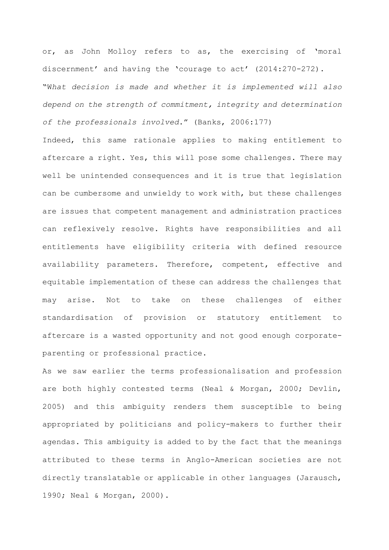or, as John Molloy refers to as, the exercising of 'moral discernment' and having the 'courage to act' (2014:270-272). "W*hat decision is made and whether it is implemented will also depend on the strength of commitment, integrity and determination of the professionals involved*." (Banks, 2006:177)

Indeed, this same rationale applies to making entitlement to aftercare a right. Yes, this will pose some challenges. There may well be unintended consequences and it is true that legislation can be cumbersome and unwieldy to work with, but these challenges are issues that competent management and administration practices can reflexively resolve. Rights have responsibilities and all entitlements have eligibility criteria with defined resource availability parameters. Therefore, competent, effective and equitable implementation of these can address the challenges that may arise. Not to take on these challenges of either standardisation of provision or statutory entitlement to aftercare is a wasted opportunity and not good enough corporateparenting or professional practice.

As we saw earlier the terms professionalisation and profession are both highly contested terms (Neal & Morgan, 2000; Devlin, 2005) and this ambiguity renders them susceptible to being appropriated by politicians and policy-makers to further their agendas. This ambiguity is added to by the fact that the meanings attributed to these terms in Anglo-American societies are not directly translatable or applicable in other languages (Jarausch, 1990; Neal & Morgan, 2000).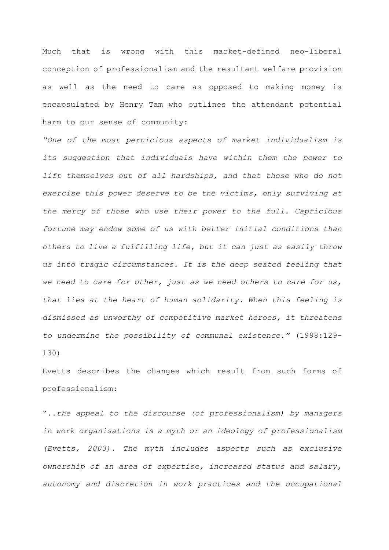Much that is wrong with this market-defined neo-liberal conception of professionalism and the resultant welfare provision as well as the need to care as opposed to making money is encapsulated by Henry Tam who outlines the attendant potential harm to our sense of community:

*"One of the most pernicious aspects of market individualism is its suggestion that individuals have within them the power to lift themselves out of all hardships, and that those who do not exercise this power deserve to be the victims, only surviving at the mercy of those who use their power to the full. Capricious fortune may endow some of us with better initial conditions than others to live a fulfilling life, but it can just as easily throw us into tragic circumstances. It is the deep seated feeling that we need to care for other, just as we need others to care for us, that lies at the heart of human solidarity. When this feeling is dismissed as unworthy of competitive market heroes, it threatens to undermine the possibility of communal existence."* (1998:129- 130)

Evetts describes the changes which result from such forms of professionalism:

"..*the appeal to the discourse (of professionalism) by managers in work organisations is a myth or an ideology of professionalism (Evetts, 2003). The myth includes aspects such as exclusive ownership of an area of expertise, increased status and salary, autonomy and discretion in work practices and the occupational*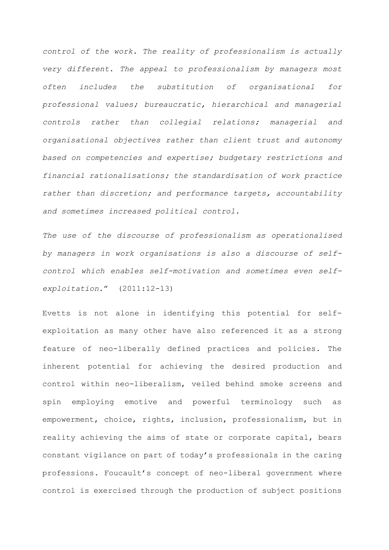*control of the work. The reality of professionalism is actually very different. The appeal to professionalism by managers most often includes the substitution of organisational for professional values; bureaucratic, hierarchical and managerial controls rather than collegial relations; managerial and organisational objectives rather than client trust and autonomy based on competencies and expertise; budgetary restrictions and financial rationalisations; the standardisation of work practice rather than discretion; and performance targets, accountability and sometimes increased political control.*

*The use of the discourse of professionalism as operationalised by managers in work organisations is also a discourse of selfcontrol which enables self-motivation and sometimes even selfexploitation*." (2011:12-13)

Evetts is not alone in identifying this potential for selfexploitation as many other have also referenced it as a strong feature of neo-liberally defined practices and policies. The inherent potential for achieving the desired production and control within neo-liberalism, veiled behind smoke screens and spin employing emotive and powerful terminology such as empowerment, choice, rights, inclusion, professionalism, but in reality achieving the aims of state or corporate capital, bears constant vigilance on part of today's professionals in the caring professions. Foucault's concept of neo-liberal government where control is exercised through the production of subject positions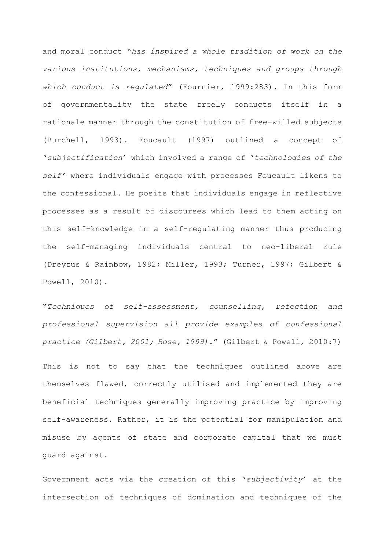and moral conduct "*has inspired a whole tradition of work on the various institutions, mechanisms, techniques and groups through which conduct is regulated*" (Fournier, 1999:283). In this form of governmentality the state freely conducts itself in a rationale manner through the constitution of free-willed subjects (Burchell, 1993). Foucault (1997) outlined a concept of '*subjectification*' which involved a range of '*technologies of the self'* where individuals engage with processes Foucault likens to the confessional. He posits that individuals engage in reflective processes as a result of discourses which lead to them acting on this self-knowledge in a self-regulating manner thus producing the self-managing individuals central to neo-liberal rule (Dreyfus & Rainbow, 1982; Miller, 1993; Turner, 1997; Gilbert & Powell, 2010).

"*Techniques of self-assessment, counselling, refection and professional supervision all provide examples of confessional practice (Gilbert, 2001; Rose, 1999)*." (Gilbert & Powell, 2010:7)

This is not to say that the techniques outlined above are themselves flawed, correctly utilised and implemented they are beneficial techniques generally improving practice by improving self-awareness. Rather, it is the potential for manipulation and misuse by agents of state and corporate capital that we must guard against.

Government acts via the creation of this '*subjectivity*' at the intersection of techniques of domination and techniques of the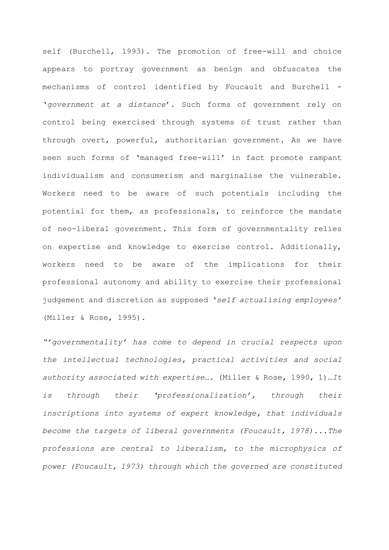self (Burchell, 1993). The promotion of free-will and choice appears to portray government as benign and obfuscates the mechanisms of control identified by Foucault and Burchell - '*government at a distance*'. Such forms of government rely on control being exercised through systems of trust rather than through overt, powerful, authoritarian government. As we have seen such forms of 'managed free-will' in fact promote rampant individualism and consumerism and marginalise the vulnerable. Workers need to be aware of such potentials including the potential for them, as professionals, to reinforce the mandate of neo-liberal government. This form of governmentality relies on expertise and knowledge to exercise control. Additionally, workers need to be aware of the implications for their professional autonomy and ability to exercise their professional judgement and discretion as supposed '*self actualising employees'* (Miller & Rose, 1995).

*"'governmentality' has come to depend in crucial respects upon the intellectual technologies, practical activities and social authority associated with expertise….* (Miller & Rose, 1990, 1)…*It is through their 'professionalization', through their inscriptions into systems of expert knowledge, that individuals become the targets of liberal governments (Foucault, 1978)...The professions are central to liberalism, to the microphysics of power (Foucault, 1973) through which the governed are constituted*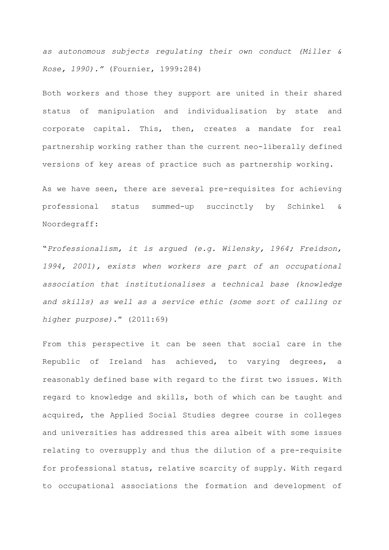*as autonomous subjects regulating their own conduct (Miller & Rose, 1990)."* (Fournier, 1999:284)

Both workers and those they support are united in their shared status of manipulation and individualisation by state and corporate capital. This, then, creates a mandate for real partnership working rather than the current neo-liberally defined versions of key areas of practice such as partnership working.

As we have seen, there are several pre-requisites for achieving professional status summed-up succinctly by Schinkel & Noordegraff:

"*Professionalism, it is argued (e.g. Wilensky, 1964; Freidson, 1994, 2001), exists when workers are part of an occupational association that institutionalises a technical base (knowledge and skills) as well as a service ethic (some sort of calling or higher purpose)*." (2011:69)

From this perspective it can be seen that social care in the Republic of Ireland has achieved, to varying degrees, a reasonably defined base with regard to the first two issues. With regard to knowledge and skills, both of which can be taught and acquired, the Applied Social Studies degree course in colleges and universities has addressed this area albeit with some issues relating to oversupply and thus the dilution of a pre-requisite for professional status, relative scarcity of supply. With regard to occupational associations the formation and development of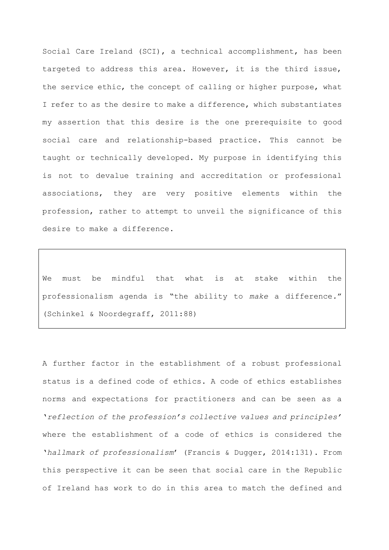Social Care Ireland (SCI), a technical accomplishment, has been targeted to address this area. However, it is the third issue, the service ethic, the concept of calling or higher purpose, what I refer to as the desire to make a difference, which substantiates my assertion that this desire is the one prerequisite to good social care and relationship-based practice. This cannot be taught or technically developed. My purpose in identifying this is not to devalue training and accreditation or professional associations, they are very positive elements within the profession, rather to attempt to unveil the significance of this desire to make a difference.

We must be mindful that what is at stake within the professionalism agenda is "the ability to *make* a difference*.*" (Schinkel & Noordegraff, 2011:88)

A further factor in the establishment of a robust professional status is a defined code of ethics. A code of ethics establishes norms and expectations for practitioners and can be seen as a '*reflection of the profession's collective values and principles'*  where the establishment of a code of ethics is considered the '*hallmark of professionalism*' (Francis & Dugger, 2014:131). From this perspective it can be seen that social care in the Republic of Ireland has work to do in this area to match the defined and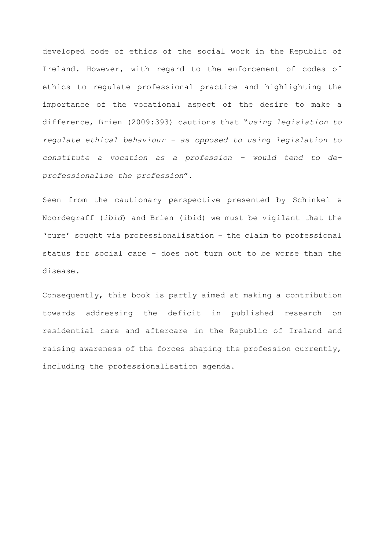developed code of ethics of the social work in the Republic of Ireland. However, with regard to the enforcement of codes of ethics to regulate professional practice and highlighting the importance of the vocational aspect of the desire to make a difference, Brien (2009:393) cautions that "*using legislation to regulate ethical behaviour - as opposed to using legislation to constitute a vocation as a profession – would tend to deprofessionalise the profession*".

Seen from the cautionary perspective presented by Schinkel & Noordegraff (*ibid*) and Brien (ibid) we must be vigilant that the 'cure' sought via professionalisation – the claim to professional status for social care - does not turn out to be worse than the disease.

Consequently, this book is partly aimed at making a contribution towards addressing the deficit in published research on residential care and aftercare in the Republic of Ireland and raising awareness of the forces shaping the profession currently, including the professionalisation agenda.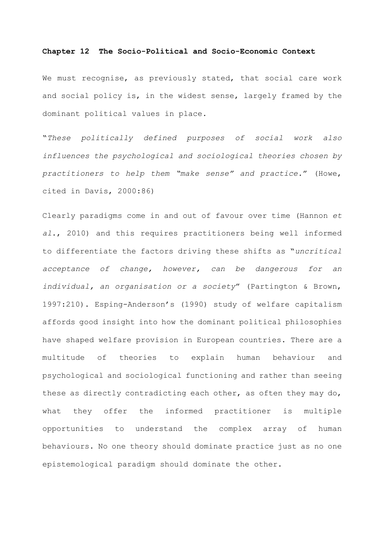## **Chapter 12 The Socio-Political and Socio-Economic Context**

We must recognise, as previously stated, that social care work and social policy is, in the widest sense, largely framed by the dominant political values in place.

"*These politically defined purposes of social work also influences the psychological and sociological theories chosen by practitioners to help them "make sense" and practice.*" (Howe, cited in Davis, 2000:86)

Clearly paradigms come in and out of favour over time (Hannon *et al*., 2010) and this requires practitioners being well informed to differentiate the factors driving these shifts as "*uncritical acceptance of change, however, can be dangerous for an individual, an organisation or a society*" (Partington & Brown, 1997:210). Esping-Anderson's (1990) study of welfare capitalism affords good insight into how the dominant political philosophies have shaped welfare provision in European countries. There are a multitude of theories to explain human behaviour and psychological and sociological functioning and rather than seeing these as directly contradicting each other, as often they may do, what they offer the informed practitioner is multiple opportunities to understand the complex array of human behaviours. No one theory should dominate practice just as no one epistemological paradigm should dominate the other.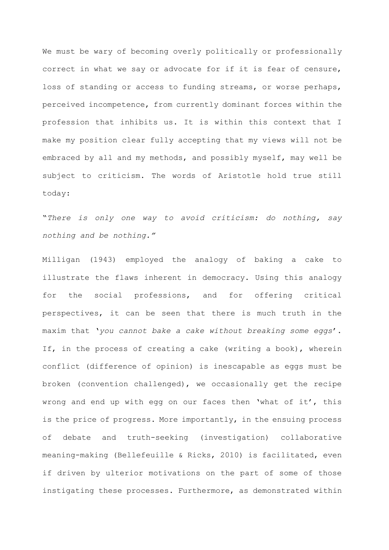We must be wary of becoming overly politically or professionally correct in what we say or advocate for if it is fear of censure, loss of standing or access to funding streams, or worse perhaps, perceived incompetence, from currently dominant forces within the profession that inhibits us. It is within this context that I make my position clear fully accepting that my views will not be embraced by all and my methods, and possibly myself, may well be subject to criticism. The words of Aristotle hold true still today:

"*There is only one way to avoid criticism: do nothing, say nothing and be nothing."*

Milligan (1943) employed the analogy of baking a cake to illustrate the flaws inherent in democracy. Using this analogy for the social professions, and for offering critical perspectives, it can be seen that there is much truth in the maxim that '*you cannot bake a cake without breaking some eggs*'. If, in the process of creating a cake (writing a book), wherein conflict (difference of opinion) is inescapable as eggs must be broken (convention challenged), we occasionally get the recipe wrong and end up with egg on our faces then 'what of it', this is the price of progress. More importantly, in the ensuing process of debate and truth-seeking (investigation) collaborative meaning-making (Bellefeuille & Ricks, 2010) is facilitated, even if driven by ulterior motivations on the part of some of those instigating these processes. Furthermore, as demonstrated within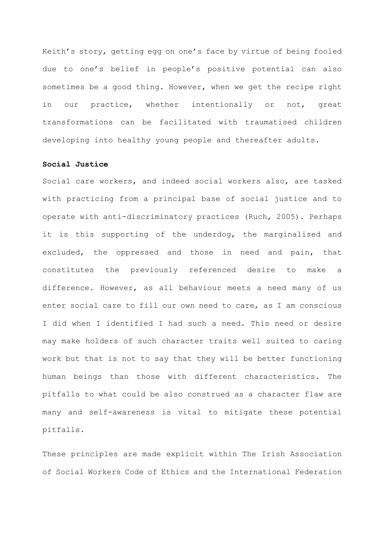Keith's story, getting egg on one's face by virtue of being fooled due to one's belief in people's positive potential can also sometimes be a good thing. However, when we get the recipe right in our practice, whether intentionally or not, great transformations can be facilitated with traumatised children developing into healthy young people and thereafter adults.

## **Social Justice**

Social care workers, and indeed social workers also, are tasked with practicing from a principal base of social justice and to operate with anti-discriminatory practices (Ruch, 2005). Perhaps it is this supporting of the underdog, the marginalised and excluded, the oppressed and those in need and pain, that constitutes the previously referenced desire to make a difference. However, as all behaviour meets a need many of us enter social care to fill our own need to care, as I am conscious I did when I identified I had such a need. This need or desire may make holders of such character traits well suited to caring work but that is not to say that they will be better functioning human beings than those with different characteristics. The pitfalls to what could be also construed as a character flaw are many and self-awareness is vital to mitigate these potential pitfalls.

These principles are made explicit within The Irish Association of Social Workers Code of Ethics and the International Federation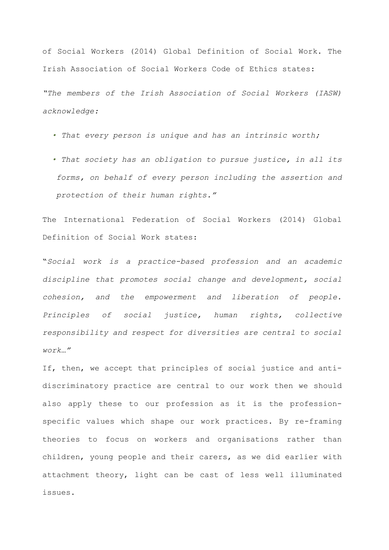of Social Workers (2014) Global Definition of Social Work. The Irish Association of Social Workers Code of Ethics states:

*"The members of the Irish Association of Social Workers (IASW) acknowledge:*

- *That every person is unique and has an intrinsic worth;*
- *That society has an obligation to pursue justice, in all its forms, on behalf of every person including the assertion and protection of their human rights."*

The International Federation of Social Workers (2014) Global Definition of Social Work states:

"*Social work is a practice-based profession and an academic discipline that promotes social change and development, social cohesion, and the empowerment and liberation of people. Principles of social justice, human rights, collective responsibility and respect for diversities are central to social work…"*

If, then, we accept that principles of social justice and antidiscriminatory practice are central to our work then we should also apply these to our profession as it is the professionspecific values which shape our work practices. By re-framing theories to focus on workers and organisations rather than children, young people and their carers, as we did earlier with attachment theory, light can be cast of less well illuminated issues.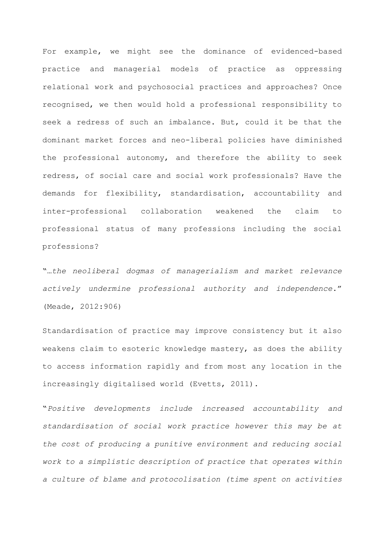For example, we might see the dominance of evidenced-based practice and managerial models of practice as oppressing relational work and psychosocial practices and approaches? Once recognised, we then would hold a professional responsibility to seek a redress of such an imbalance. But, could it be that the dominant market forces and neo-liberal policies have diminished the professional autonomy, and therefore the ability to seek redress, of social care and social work professionals? Have the demands for flexibility, standardisation, accountability and inter-professional collaboration weakened the claim to professional status of many professions including the social professions?

"…*the neoliberal dogmas of managerialism and market relevance actively undermine professional authority and independence*." (Meade, 2012:906)

Standardisation of practice may improve consistency but it also weakens claim to esoteric knowledge mastery, as does the ability to access information rapidly and from most any location in the increasingly digitalised world (Evetts, 2011).

"*Positive developments include increased accountability and standardisation of social work practice however this may be at the cost of producing a punitive environment and reducing social work to a simplistic description of practice that operates within a culture of blame and protocolisation (time spent on activities*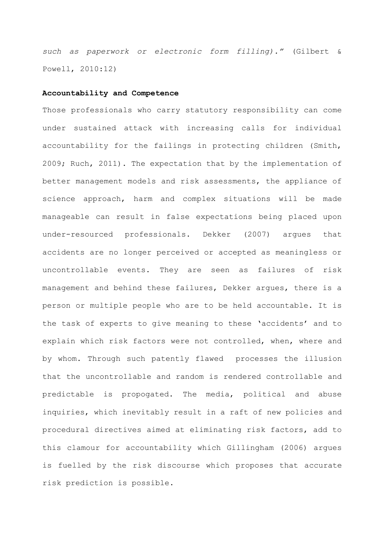*such as paperwork or electronic form filling)."* (Gilbert & Powell, 2010:12)

#### **Accountability and Competence**

Those professionals who carry statutory responsibility can come under sustained attack with increasing calls for individual accountability for the failings in protecting children (Smith, 2009; Ruch, 2011). The expectation that by the implementation of better management models and risk assessments, the appliance of science approach, harm and complex situations will be made manageable can result in false expectations being placed upon under-resourced professionals. Dekker (2007) argues that accidents are no longer perceived or accepted as meaningless or uncontrollable events. They are seen as failures of risk management and behind these failures, Dekker argues, there is a person or multiple people who are to be held accountable. It is the task of experts to give meaning to these 'accidents' and to explain which risk factors were not controlled, when, where and by whom. Through such patently flawed processes the illusion that the uncontrollable and random is rendered controllable and predictable is propogated. The media, political and abuse inquiries, which inevitably result in a raft of new policies and procedural directives aimed at eliminating risk factors, add to this clamour for accountability which Gillingham (2006) argues is fuelled by the risk discourse which proposes that accurate risk prediction is possible.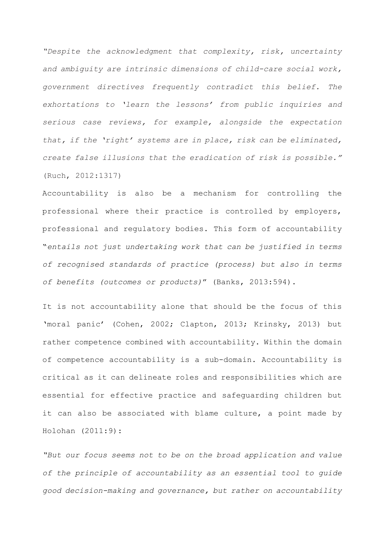*"Despite the acknowledgment that complexity, risk, uncertainty and ambiguity are intrinsic dimensions of child-care social work, government directives frequently contradict this belief. The exhortations to 'learn the lessons' from public inquiries and serious case reviews, for example, alongside the expectation that, if the 'right' systems are in place, risk can be eliminated, create false illusions that the eradication of risk is possible."*  (Ruch, 2012:1317)

Accountability is also be a mechanism for controlling the professional where their practice is controlled by employers, professional and regulatory bodies. This form of accountability "*entails not just undertaking work that can be justified in terms of recognised standards of practice (process) but also in terms of benefits (outcomes or products)*" (Banks, 2013:594).

It is not accountability alone that should be the focus of this 'moral panic' (Cohen, 2002; Clapton, 2013; Krinsky, 2013) but rather competence combined with accountability. Within the domain of competence accountability is a sub-domain. Accountability is critical as it can delineate roles and responsibilities which are essential for effective practice and safeguarding children but it can also be associated with blame culture, a point made by Holohan (2011:9):

*"But our focus seems not to be on the broad application and value of the principle of accountability as an essential tool to guide good decision-making and governance, but rather on accountability*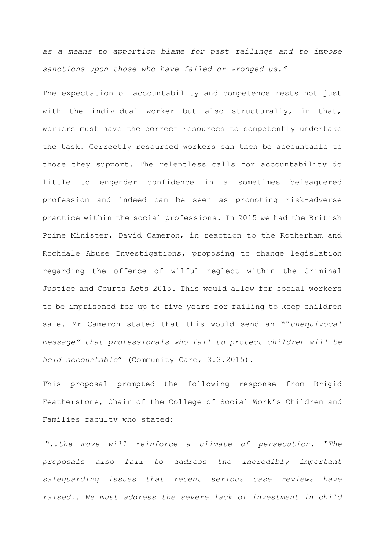*as a means to apportion blame for past failings and to impose sanctions upon those who have failed or wronged us."*

The expectation of accountability and competence rests not just with the individual worker but also structurally, in that, workers must have the correct resources to competently undertake the task. Correctly resourced workers can then be accountable to those they support. The relentless calls for accountability do little to engender confidence in a sometimes beleaguered profession and indeed can be seen as promoting risk-adverse practice within the social professions. In 2015 we had the British Prime Minister, David Cameron, in reaction to the Rotherham and Rochdale Abuse Investigations, proposing to change legislation regarding the offence of wilful neglect within the Criminal Justice and Courts Acts 2015. This would allow for social workers to be imprisoned for up to five years for failing to keep children safe. Mr Cameron stated that this would send an ""*unequivocal message" that professionals who fail to protect children will be held accountable*" (Community Care, 3.3.2015).

This proposal prompted the following response from Brigid Featherstone, Chair of the College of Social Work's Children and Families faculty who stated:

*"..the move will reinforce a climate of persecution. "The proposals also fail to address the incredibly important safeguarding issues that recent serious case reviews have raised.. We must address the severe lack of investment in child*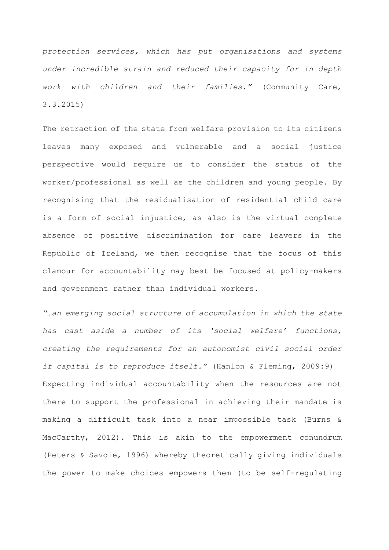*protection services, which has put organisations and systems under incredible strain and reduced their capacity for in depth work with children and their families."* (Community Care, 3.3.2015)

The retraction of the state from welfare provision to its citizens leaves many exposed and vulnerable and a social justice perspective would require us to consider the status of the worker/professional as well as the children and young people. By recognising that the residualisation of residential child care is a form of social injustice, as also is the virtual complete absence of positive discrimination for care leavers in the Republic of Ireland, we then recognise that the focus of this clamour for accountability may best be focused at policy-makers and government rather than individual workers.

*"…an emerging social structure of accumulation in which the state has cast aside a number of its 'social welfare' functions, creating the requirements for an autonomist civil social order if capital is to reproduce itself."* (Hanlon & Fleming, 2009:9) Expecting individual accountability when the resources are not there to support the professional in achieving their mandate is making a difficult task into a near impossible task (Burns & MacCarthy, 2012). This is akin to the empowerment conundrum (Peters & Savoie, 1996) whereby theoretically giving individuals the power to make choices empowers them (to be self-regulating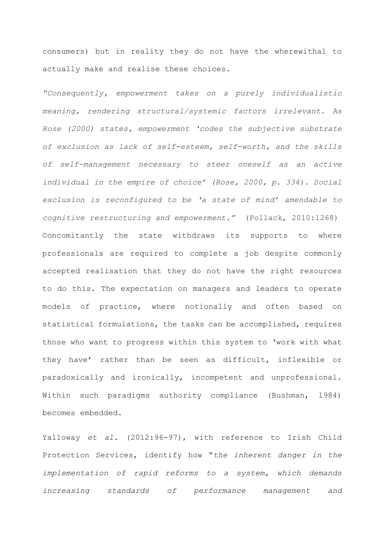consumers) but in reality they do not have the wherewithal to actually make and realise these choices.

*"Consequently, empowerment takes on a purely individualistic meaning, rendering structural/systemic factors irrelevant. As Rose (2000) states, empowerment 'codes the subjective substrate of exclusion as lack of self-esteem, self-worth, and the skills of self-management necessary to steer oneself as an active individual in the empire of choice' (Rose, 2000, p. 334). Social exclusion is reconfigured to be 'a state of mind' amendable to cognitive restructuring and empowerment."* (Pollack, 2010:1268) Concomitantly the state withdraws its supports to where professionals are required to complete a job despite commonly accepted realisation that they do not have the right resources to do this. The expectation on managers and leaders to operate models of practice, where notionally and often based on statistical formulations, the tasks can be accomplished, requires those who want to progress within this system to 'work with what they have' rather than be seen as difficult, inflexible or paradoxically and ironically, incompetent and unprofessional. Within such paradigms authority compliance (Bushman, 1984) becomes embedded.

Yalloway *et al*. (2012:96-97), with reference to Irish Child Protection Services, identify how "*the inherent danger in the implementation of rapid reforms to a system, which demands increasing standards of performance management and*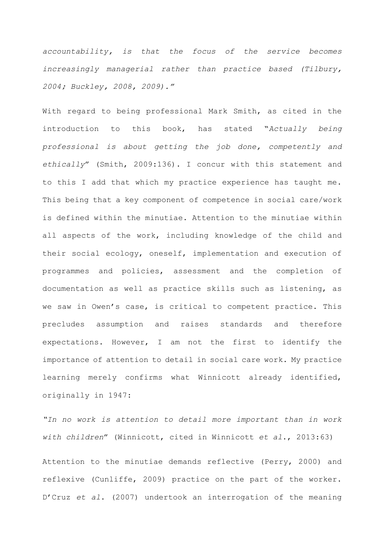*accountability, is that the focus of the service becomes increasingly managerial rather than practice based (Tilbury, 2004; Buckley, 2008, 2009)."*

With regard to being professional Mark Smith, as cited in the introduction to this book, has stated "*Actually being professional is about getting the job done, competently and ethically*" (Smith, 2009:136). I concur with this statement and to this I add that which my practice experience has taught me. This being that a key component of competence in social care/work is defined within the minutiae. Attention to the minutiae within all aspects of the work, including knowledge of the child and their social ecology, oneself, implementation and execution of programmes and policies, assessment and the completion of documentation as well as practice skills such as listening, as we saw in Owen's case, is critical to competent practice. This precludes assumption and raises standards and therefore expectations. However, I am not the first to identify the importance of attention to detail in social care work. My practice learning merely confirms what Winnicott already identified, originally in 1947:

*"In no work is attention to detail more important than in work with children*" (Winnicott, cited in Winnicott *et al*., 2013:63)

Attention to the minutiae demands reflective (Perry, 2000) and reflexive (Cunliffe, 2009) practice on the part of the worker. D'Cruz *et al*. (2007) undertook an interrogation of the meaning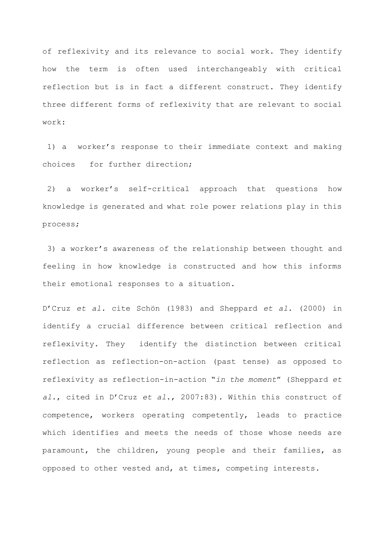of reflexivity and its relevance to social work. They identify how the term is often used interchangeably with critical reflection but is in fact a different construct. They identify three different forms of reflexivity that are relevant to social work:

1) a worker's response to their immediate context and making choices for further direction;

2) a worker's self-critical approach that questions how knowledge is generated and what role power relations play in this process;

3) a worker's awareness of the relationship between thought and feeling in how knowledge is constructed and how this informs their emotional responses to a situation.

D'Cruz *et al.* cite Schön (1983) and Sheppard *et al*. (2000) in identify a crucial difference between critical reflection and reflexivity. They identify the distinction between critical reflection as reflection-on-action (past tense) as opposed to reflexivity as reflection-in-action "*in the moment*" (Sheppard *et al*., cited in D'Cruz *et al*., 2007:83). Within this construct of competence, workers operating competently, leads to practice which identifies and meets the needs of those whose needs are paramount, the children, young people and their families, as opposed to other vested and, at times, competing interests.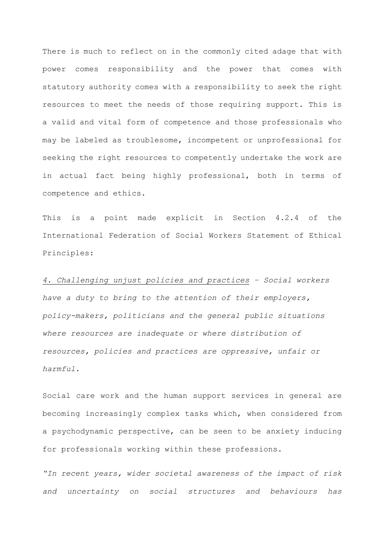There is much to reflect on in the commonly cited adage that with power comes responsibility and the power that comes with statutory authority comes with a responsibility to seek the right resources to meet the needs of those requiring support. This is a valid and vital form of competence and those professionals who may be labeled as troublesome, incompetent or unprofessional for seeking the right resources to competently undertake the work are in actual fact being highly professional, both in terms of competence and ethics.

This is a point made explicit in Section 4.2.4 of the International Federation of Social Workers Statement of Ethical Principles:

*4. Challenging unjust policies and practices – Social workers have a duty to bring to the attention of their employers, policy-makers, politicians and the general public situations where resources are inadequate or where distribution of resources, policies and practices are oppressive, unfair or harmful.*

Social care work and the human support services in general are becoming increasingly complex tasks which, when considered from a psychodynamic perspective, can be seen to be anxiety inducing for professionals working within these professions.

*"In recent years, wider societal awareness of the impact of risk and uncertainty on social structures and behaviours has*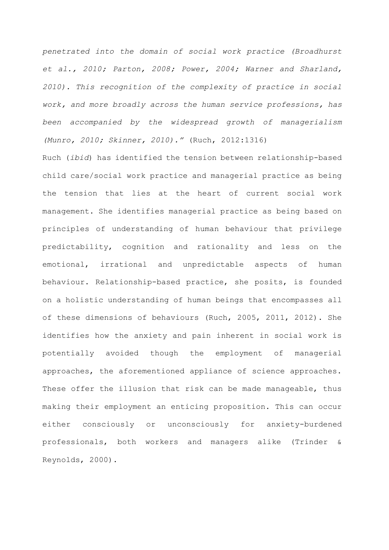*penetrated into the domain of social work practice (Broadhurst et al., 2010; Parton, 2008; Power, 2004; Warner and Sharland, 2010). This recognition of the complexity of practice in social work, and more broadly across the human service professions, has been accompanied by the widespread growth of managerialism (Munro, 2010; Skinner, 2010)."* (Ruch, 2012:1316)

Ruch (*ibid*) has identified the tension between relationship-based child care/social work practice and managerial practice as being the tension that lies at the heart of current social work management. She identifies managerial practice as being based on principles of understanding of human behaviour that privilege predictability, cognition and rationality and less on the emotional, irrational and unpredictable aspects of human behaviour. Relationship-based practice, she posits, is founded on a holistic understanding of human beings that encompasses all of these dimensions of behaviours (Ruch, 2005, 2011, 2012). She identifies how the anxiety and pain inherent in social work is potentially avoided though the employment of managerial approaches, the aforementioned appliance of science approaches. These offer the illusion that risk can be made manageable, thus making their employment an enticing proposition. This can occur either consciously or unconsciously for anxiety-burdened professionals, both workers and managers alike (Trinder & Reynolds, 2000).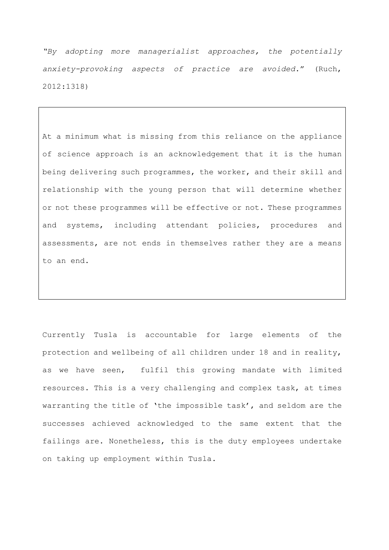*"By adopting more managerialist approaches, the potentially anxiety-provoking aspects of practice are avoided*." (Ruch, 2012:1318)

At a minimum what is missing from this reliance on the appliance of science approach is an acknowledgement that it is the human being delivering such programmes, the worker, and their skill and relationship with the young person that will determine whether or not these programmes will be effective or not. These programmes and systems, including attendant policies, procedures and assessments, are not ends in themselves rather they are a means to an end.

Currently Tusla is accountable for large elements of the protection and wellbeing of all children under 18 and in reality, as we have seen, fulfil this growing mandate with limited resources. This is a very challenging and complex task, at times warranting the title of 'the impossible task', and seldom are the successes achieved acknowledged to the same extent that the failings are. Nonetheless, this is the duty employees undertake on taking up employment within Tusla.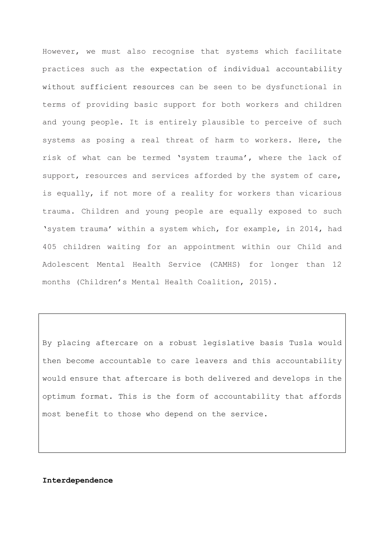However, we must also recognise that systems which facilitate practices such as the expectation of individual accountability without sufficient resources can be seen to be dysfunctional in terms of providing basic support for both workers and children and young people. It is entirely plausible to perceive of such systems as posing a real threat of harm to workers. Here, the risk of what can be termed 'system trauma', where the lack of support, resources and services afforded by the system of care, is equally, if not more of a reality for workers than vicarious trauma. Children and young people are equally exposed to such 'system trauma' within a system which, for example, in 2014, had 405 children waiting for an appointment within our Child and Adolescent Mental Health Service (CAMHS) for longer than 12 months (Children's Mental Health Coalition, 2015).

By placing aftercare on a robust legislative basis Tusla would then become accountable to care leavers and this accountability would ensure that aftercare is both delivered and develops in the optimum format. This is the form of accountability that affords most benefit to those who depend on the service.

#### **Interdependence**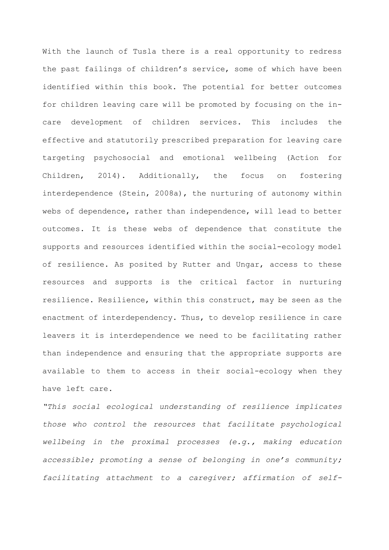With the launch of Tusla there is a real opportunity to redress the past failings of children's service, some of which have been identified within this book. The potential for better outcomes for children leaving care will be promoted by focusing on the incare development of children services. This includes the effective and statutorily prescribed preparation for leaving care targeting psychosocial and emotional wellbeing (Action for Children, 2014). Additionally, the focus on fostering interdependence (Stein, 2008a), the nurturing of autonomy within webs of dependence, rather than independence, will lead to better outcomes. It is these webs of dependence that constitute the supports and resources identified within the social-ecology model of resilience. As posited by Rutter and Ungar, access to these resources and supports is the critical factor in nurturing resilience. Resilience, within this construct, may be seen as the enactment of interdependency. Thus, to develop resilience in care leavers it is interdependence we need to be facilitating rather than independence and ensuring that the appropriate supports are available to them to access in their social-ecology when they have left care.

*"This social ecological understanding of resilience implicates those who control the resources that facilitate psychological wellbeing in the proximal processes (e.g., making education accessible; promoting a sense of belonging in one's community; facilitating attachment to a caregiver; affirmation of self-*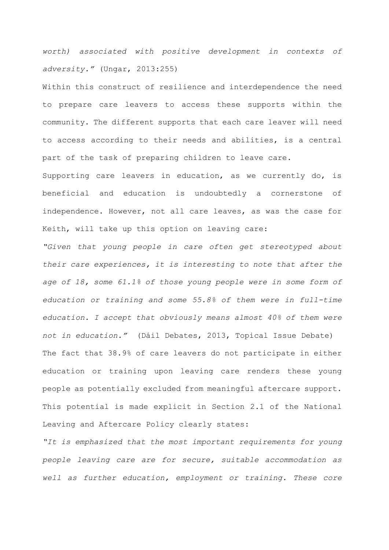*worth) associated with positive development in contexts of adversity."* (Ungar, 2013:255)

Within this construct of resilience and interdependence the need to prepare care leavers to access these supports within the community. The different supports that each care leaver will need to access according to their needs and abilities, is a central part of the task of preparing children to leave care.

Supporting care leavers in education, as we currently do, is beneficial and education is undoubtedly a cornerstone of independence. However, not all care leaves, as was the case for Keith, will take up this option on leaving care:

*"Given that young people in care often get stereotyped about their care experiences, it is interesting to note that after the age of 18, some 61.1% of those young people were in some form of education or training and some 55.8% of them were in full-time education. I accept that obviously means almost 40% of them were not in education."* (Dáil Debates, 2013, Topical Issue Debate) The fact that 38.9% of care leavers do not participate in either education or training upon leaving care renders these young people as potentially excluded from meaningful aftercare support. This potential is made explicit in Section 2.1 of the National Leaving and Aftercare Policy clearly states:

*"It is emphasized that the most important requirements for young people leaving care are for secure, suitable accommodation as well as further education, employment or training. These core*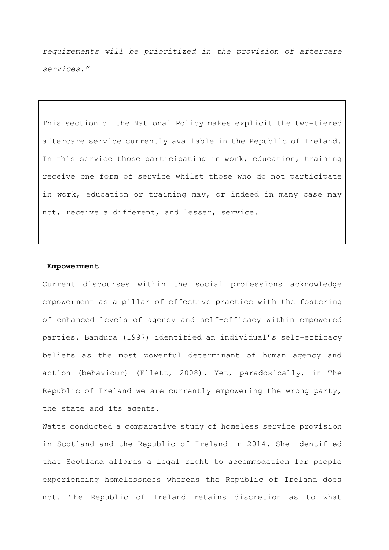*requirements will be prioritized in the provision of aftercare services."*

This section of the National Policy makes explicit the two-tiered aftercare service currently available in the Republic of Ireland. In this service those participating in work, education, training receive one form of service whilst those who do not participate in work, education or training may, or indeed in many case may not, receive a different, and lesser, service.

#### **Empowerment**

Current discourses within the social professions acknowledge empowerment as a pillar of effective practice with the fostering of enhanced levels of agency and self-efficacy within empowered parties. Bandura (1997) identified an individual's self-efficacy beliefs as the most powerful determinant of human agency and action (behaviour) (Ellett, 2008). Yet, paradoxically, in The Republic of Ireland we are currently empowering the wrong party, the state and its agents.

Watts conducted a comparative study of homeless service provision in Scotland and the Republic of Ireland in 2014. She identified that Scotland affords a legal right to accommodation for people experiencing homelessness whereas the Republic of Ireland does not. The Republic of Ireland retains discretion as to what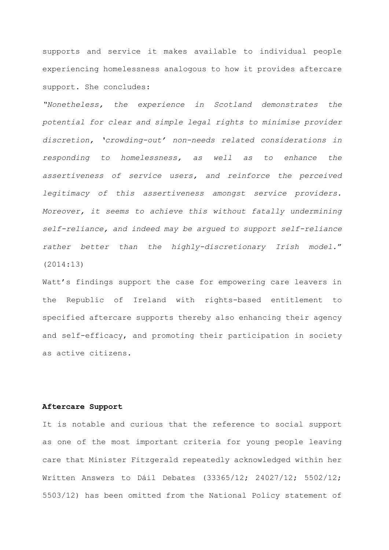supports and service it makes available to individual people experiencing homelessness analogous to how it provides aftercare support. She concludes:

*"Nonetheless, the experience in Scotland demonstrates the potential for clear and simple legal rights to minimise provider discretion, 'crowding-out' non-needs related considerations in responding to homelessness, as well as to enhance the assertiveness of service users, and reinforce the perceived legitimacy of this assertiveness amongst service providers. Moreover, it seems to achieve this without fatally undermining self-reliance, and indeed may be argued to support self-reliance rather better than the highly-discretionary Irish model*." (2014:13)

Watt's findings support the case for empowering care leavers in the Republic of Ireland with rights-based entitlement to specified aftercare supports thereby also enhancing their agency and self-efficacy, and promoting their participation in society as active citizens.

### **Aftercare Support**

It is notable and curious that the reference to social support as one of the most important criteria for young people leaving care that Minister Fitzgerald repeatedly acknowledged within her Written Answers to Dáil Debates (33365/12; 24027/12; 5502/12; 5503/12) has been omitted from the National Policy statement of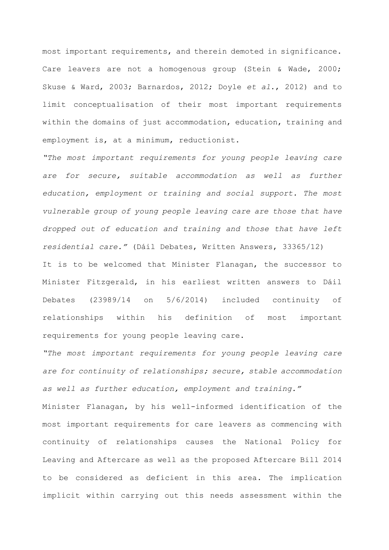most important requirements, and therein demoted in significance. Care leavers are not a homogenous group (Stein & Wade, 2000; Skuse & Ward, 2003; Barnardos, 2012; Doyle *et al*., 2012) and to limit conceptualisation of their most important requirements within the domains of just accommodation, education, training and employment is, at a minimum, reductionist.

*"The most important requirements for young people leaving care*  are for secure, suitable accommodation as well as further *education, employment or training and social support. The most vulnerable group of young people leaving care are those that have dropped out of education and training and those that have left residential care."* (Dáil Debates, Written Answers, 33365/12) It is to be welcomed that Minister Flanagan, the successor to

Minister Fitzgerald, in his earliest written answers to Dáil Debates (23989/14 on 5/6/2014) included continuity of relationships within his definition of most important requirements for young people leaving care.

*"The most important requirements for young people leaving care are for continuity of relationships; secure, stable accommodation as well as further education, employment and training."*  Minister Flanagan, by his well-informed identification of the most important requirements for care leavers as commencing with continuity of relationships causes the National Policy for Leaving and Aftercare as well as the proposed Aftercare Bill 2014 to be considered as deficient in this area. The implication implicit within carrying out this needs assessment within the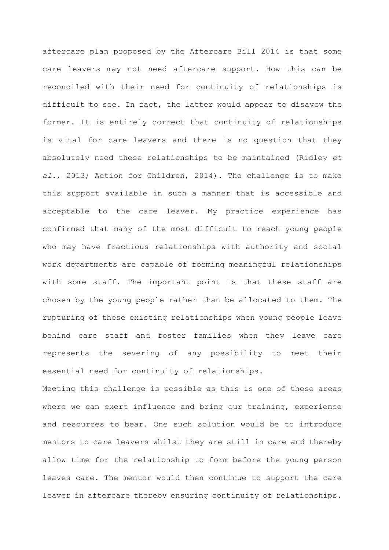aftercare plan proposed by the Aftercare Bill 2014 is that some care leavers may not need aftercare support. How this can be reconciled with their need for continuity of relationships is difficult to see. In fact, the latter would appear to disavow the former. It is entirely correct that continuity of relationships is vital for care leavers and there is no question that they absolutely need these relationships to be maintained (Ridley *et al*., 2013; Action for Children, 2014). The challenge is to make this support available in such a manner that is accessible and acceptable to the care leaver. My practice experience has confirmed that many of the most difficult to reach young people who may have fractious relationships with authority and social work departments are capable of forming meaningful relationships with some staff. The important point is that these staff are chosen by the young people rather than be allocated to them. The rupturing of these existing relationships when young people leave behind care staff and foster families when they leave care represents the severing of any possibility to meet their essential need for continuity of relationships.

Meeting this challenge is possible as this is one of those areas where we can exert influence and bring our training, experience and resources to bear. One such solution would be to introduce mentors to care leavers whilst they are still in care and thereby allow time for the relationship to form before the young person leaves care. The mentor would then continue to support the care leaver in aftercare thereby ensuring continuity of relationships.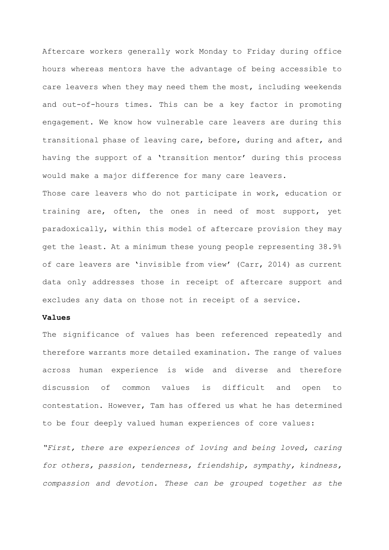Aftercare workers generally work Monday to Friday during office hours whereas mentors have the advantage of being accessible to care leavers when they may need them the most, including weekends and out-of-hours times. This can be a key factor in promoting engagement. We know how vulnerable care leavers are during this transitional phase of leaving care, before, during and after, and having the support of a 'transition mentor' during this process would make a major difference for many care leavers.

Those care leavers who do not participate in work, education or training are, often, the ones in need of most support, yet paradoxically, within this model of aftercare provision they may get the least. At a minimum these young people representing 38.9% of care leavers are 'invisible from view' (Carr, 2014) as current data only addresses those in receipt of aftercare support and excludes any data on those not in receipt of a service.

## **Values**

The significance of values has been referenced repeatedly and therefore warrants more detailed examination. The range of values across human experience is wide and diverse and therefore discussion of common values is difficult and open to contestation. However, Tam has offered us what he has determined to be four deeply valued human experiences of core values:

*"First, there are experiences of loving and being loved, caring for others, passion, tenderness, friendship, sympathy, kindness, compassion and devotion. These can be grouped together as the*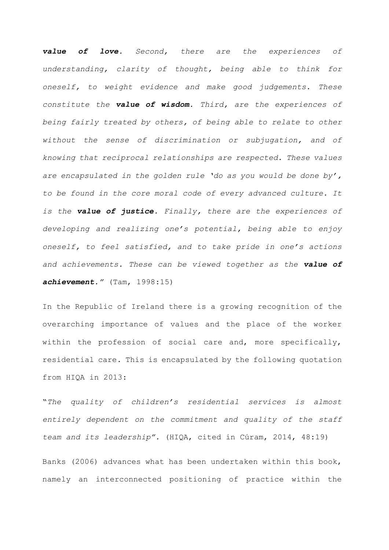*value of love. Second, there are the experiences of understanding, clarity of thought, being able to think for oneself, to weight evidence and make good judgements. These constitute the value of wisdom. Third, are the experiences of being fairly treated by others, of being able to relate to other without the sense of discrimination or subjugation, and of knowing that reciprocal relationships are respected. These values are encapsulated in the golden rule 'do as you would be done by', to be found in the core moral code of every advanced culture. It is the value of justice. Finally, there are the experiences of developing and realizing one's potential, being able to enjoy oneself, to feel satisfied, and to take pride in one's actions and achievements. These can be viewed together as the value of achievement."* (Tam, 1998:15)

In the Republic of Ireland there is a growing recognition of the overarching importance of values and the place of the worker within the profession of social care and, more specifically, residential care. This is encapsulated by the following quotation from HIQA in 2013:

"*The quality of children's residential services is almost entirely dependent on the commitment and quality of the staff team and its leadership".* (HIQA, cited in Cúram, 2014, 48:19)

Banks (2006) advances what has been undertaken within this book, namely an interconnected positioning of practice within the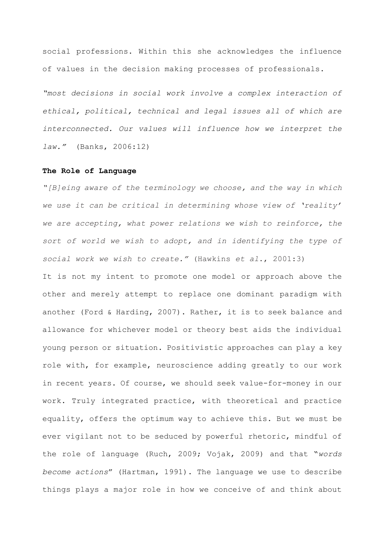social professions. Within this she acknowledges the influence of values in the decision making processes of professionals.

*"most decisions in social work involve a complex interaction of ethical, political, technical and legal issues all of which are interconnected. Our values will influence how we interpret the law."* (Banks, 2006:12)

## **The Role of Language**

*"[B]eing aware of the terminology we choose, and the way in which we use it can be critical in determining whose view of 'reality' we are accepting, what power relations we wish to reinforce, the sort of world we wish to adopt, and in identifying the type of social work we wish to create."* (Hawkins *et al*., 2001:3)

It is not my intent to promote one model or approach above the other and merely attempt to replace one dominant paradigm with another (Ford & Harding, 2007). Rather, it is to seek balance and allowance for whichever model or theory best aids the individual young person or situation. Positivistic approaches can play a key role with, for example, neuroscience adding greatly to our work in recent years. Of course, we should seek value-for-money in our work. Truly integrated practice, with theoretical and practice equality, offers the optimum way to achieve this. But we must be ever vigilant not to be seduced by powerful rhetoric, mindful of the role of language (Ruch, 2009; Vojak, 2009) and that "*words become actions*" (Hartman, 1991). The language we use to describe things plays a major role in how we conceive of and think about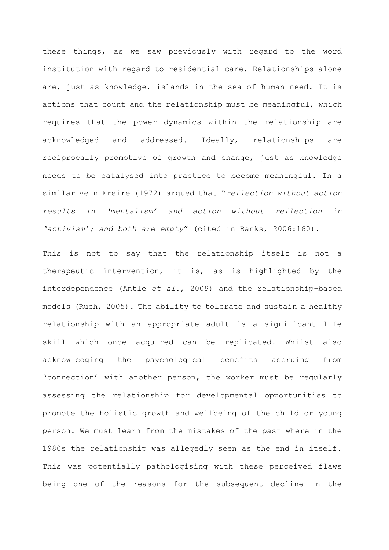these things, as we saw previously with regard to the word institution with regard to residential care. Relationships alone are, just as knowledge, islands in the sea of human need. It is actions that count and the relationship must be meaningful, which requires that the power dynamics within the relationship are acknowledged and addressed. Ideally, relationships are reciprocally promotive of growth and change, just as knowledge needs to be catalysed into practice to become meaningful. In a similar vein Freire (1972) argued that "*reflection without action results in 'mentalism' and action without reflection in 'activism'; and both are empty*" (cited in Banks, 2006:160).

This is not to say that the relationship itself is not a therapeutic intervention, it is, as is highlighted by the interdependence (Antle *et al*., 2009) and the relationship-based models (Ruch, 2005). The ability to tolerate and sustain a healthy relationship with an appropriate adult is a significant life skill which once acquired can be replicated. Whilst also acknowledging the psychological benefits accruing from 'connection' with another person, the worker must be regularly assessing the relationship for developmental opportunities to promote the holistic growth and wellbeing of the child or young person. We must learn from the mistakes of the past where in the 1980s the relationship was allegedly seen as the end in itself. This was potentially pathologising with these perceived flaws being one of the reasons for the subsequent decline in the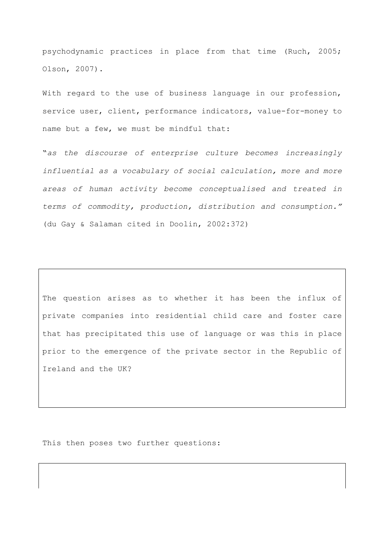psychodynamic practices in place from that time (Ruch, 2005; Olson, 2007).

With regard to the use of business language in our profession, service user, client, performance indicators, value-for-money to name but a few, we must be mindful that:

"*as the discourse of enterprise culture becomes increasingly influential as a vocabulary of social calculation, more and more areas of human activity become conceptualised and treated in terms of commodity, production, distribution and consumption."* (du Gay & Salaman cited in Doolin, 2002:372)

The question arises as to whether it has been the influx of private companies into residential child care and foster care that has precipitated this use of language or was this in place prior to the emergence of the private sector in the Republic of Ireland and the UK?

This then poses two further questions: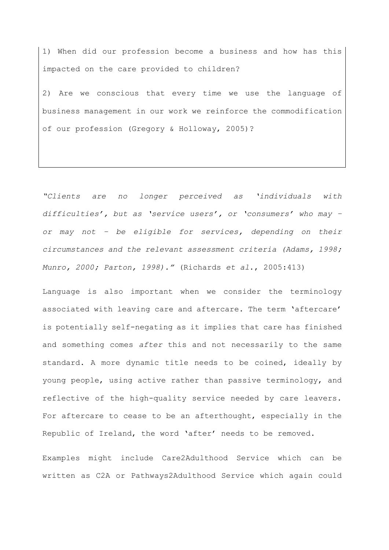1) When did our profession become a business and how has this impacted on the care provided to children?

2) Are we conscious that every time we use the language of business management in our work we reinforce the commodification of our profession (Gregory & Holloway, 2005)?

*"Clients are no longer perceived as 'individuals with difficulties', but as 'service users', or 'consumers' who may – or may not – be eligible for services, depending on their circumstances and the relevant assessment criteria (Adams, 1998; Munro, 2000; Parton, 1998)."* (Richards *et al*., 2005:413)

Language is also important when we consider the terminology associated with leaving care and aftercare. The term 'aftercare' is potentially self-negating as it implies that care has finished and something comes *after* this and not necessarily to the same standard. A more dynamic title needs to be coined, ideally by young people, using active rather than passive terminology, and reflective of the high-quality service needed by care leavers. For aftercare to cease to be an afterthought, especially in the Republic of Ireland, the word 'after' needs to be removed.

Examples might include Care2Adulthood Service which can be written as C2A or Pathways2Adulthood Service which again could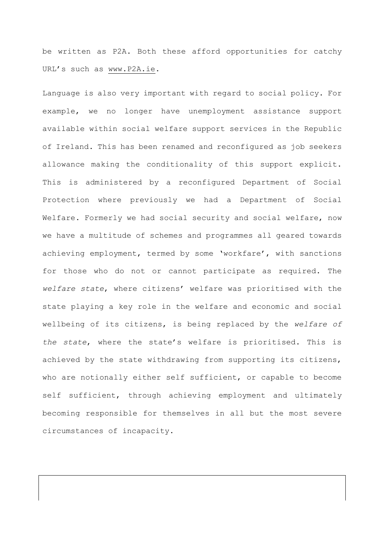be written as P2A. Both these afford opportunities for catchy URL's such as [www.P2A.ie.](http://www.p2a.ie/)

Language is also very important with regard to social policy. For example, we no longer have unemployment assistance support available within social welfare support services in the Republic of Ireland. This has been renamed and reconfigured as job seekers allowance making the conditionality of this support explicit. This is administered by a reconfigured Department of Social Protection where previously we had a Department of Social Welfare. Formerly we had social security and social welfare, now we have a multitude of schemes and programmes all geared towards achieving employment, termed by some 'workfare', with sanctions for those who do not or cannot participate as required. The *welfare state*, where citizens' welfare was prioritised with the state playing a key role in the welfare and economic and social wellbeing of its citizens, is being replaced by the *welfare of the state*, where the state's welfare is prioritised. This is achieved by the state withdrawing from supporting its citizens, who are notionally either self sufficient, or capable to become self sufficient, through achieving employment and ultimately becoming responsible for themselves in all but the most severe circumstances of incapacity.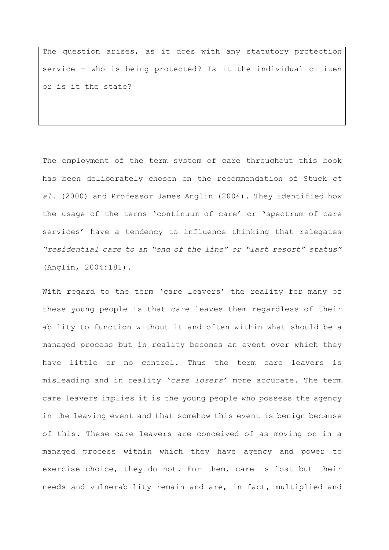The question arises, as it does with any statutory protection service – who is being protected? Is it the individual citizen or is it the state?

The employment of the term system of care throughout this book has been deliberately chosen on the recommendation of Stuck *et al*. (2000) and Professor James Anglin (2004). They identified how the usage of the terms 'continuum of care' or 'spectrum of care services' have a tendency to influence thinking that relegates *"residential care to an "end of the line" or "last resort" status"* (Anglin, 2004:181).

With regard to the term 'care leavers' the reality for many of these young people is that care leaves them regardless of their ability to function without it and often within what should be a managed process but in reality becomes an event over which they have little or no control. Thus the term care leavers is misleading and in reality '*care losers'* more accurate. The term care leavers implies it is the young people who possess the agency in the leaving event and that somehow this event is benign because of this. These care leavers are conceived of as moving on in a managed process within which they have agency and power to exercise choice, they do not. For them, care is lost but their needs and vulnerability remain and are, in fact, multiplied and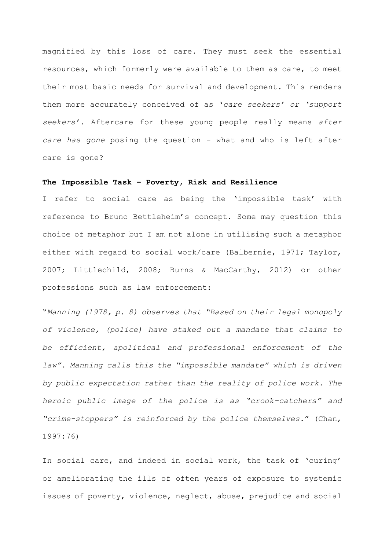magnified by this loss of care. They must seek the essential resources, which formerly were available to them as care, to meet their most basic needs for survival and development. This renders them more accurately conceived of as '*care seekers' or 'support seekers'*. Aftercare for these young people really means *after care has gone* posing the question - what and who is left after care is gone?

# **The Impossible Task – Poverty, Risk and Resilience**

I refer to social care as being the 'impossible task' with reference to Bruno Bettleheim's concept. Some may question this choice of metaphor but I am not alone in utilising such a metaphor either with regard to social work/care (Balbernie, 1971; Taylor, 2007; Littlechild, 2008; Burns & MacCarthy, 2012) or other professions such as law enforcement:

"*Manning (1978, p. 8) observes that "Based on their legal monopoly of violence, (police) have staked out a mandate that claims to be efficient, apolitical and professional enforcement of the*  law". Manning calls this the "impossible mandate" which is driven *by public expectation rather than the reality of police work. The heroic public image of the police is as "crook-catchers" and "crime-stoppers" is reinforced by the police themselves.*" (Chan, 1997:76)

In social care, and indeed in social work, the task of 'curing' or ameliorating the ills of often years of exposure to systemic issues of poverty, violence, neglect, abuse, prejudice and social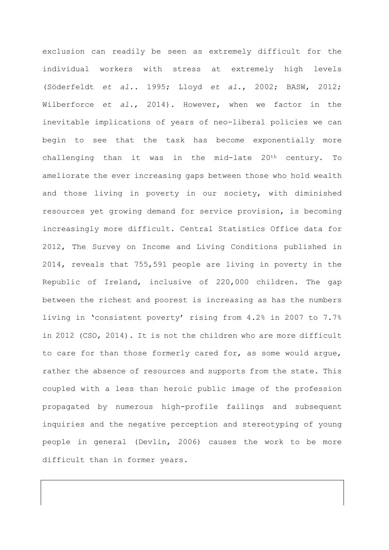exclusion can readily be seen as extremely difficult for the individual workers with stress at extremely high levels (Söderfeldt *et al*.. 1995; Lloyd *et al*., 2002; BASW, 2012; Wilberforce *et al*., 2014). However, when we factor in the inevitable implications of years of neo-liberal policies we can begin to see that the task has become exponentially more challenging than it was in the mid-late 20th century. To ameliorate the ever increasing gaps between those who hold wealth and those living in poverty in our society, with diminished resources yet growing demand for service provision, is becoming increasingly more difficult. Central Statistics Office data for 2012, The Survey on Income and Living Conditions published in 2014, reveals that 755,591 people are living in poverty in the Republic of Ireland, inclusive of 220,000 children. The gap between the richest and poorest is increasing as has the numbers living in 'consistent poverty' rising from 4.2% in 2007 to 7.7% in 2012 (CSO, 2014). It is not the children who are more difficult to care for than those formerly cared for, as some would argue, rather the absence of resources and supports from the state. This coupled with a less than heroic public image of the profession propagated by numerous high-profile failings and subsequent inquiries and the negative perception and stereotyping of young people in general (Devlin, 2006) causes the work to be more difficult than in former years.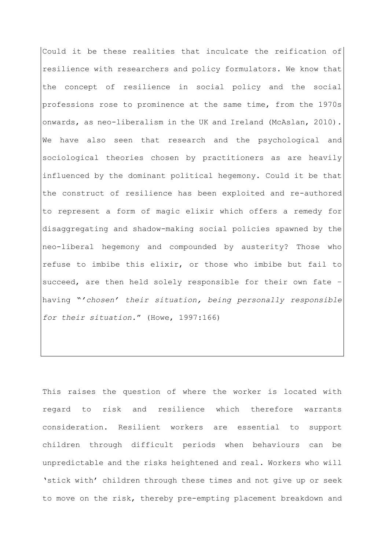Could it be these realities that inculcate the reification of resilience with researchers and policy formulators. We know that the concept of resilience in social policy and the social professions rose to prominence at the same time, from the 1970s onwards, as neo-liberalism in the UK and Ireland (McAslan, 2010). We have also seen that research and the psychological and sociological theories chosen by practitioners as are heavily influenced by the dominant political hegemony. Could it be that the construct of resilience has been exploited and re-authored to represent a form of magic elixir which offers a remedy for disaggregating and shadow-making social policies spawned by the neo-liberal hegemony and compounded by austerity? Those who refuse to imbibe this elixir, or those who imbibe but fail to succeed, are then held solely responsible for their own fate – having "*'chosen' their situation, being personally responsible for their situation.*" (Howe, 1997:166)

This raises the question of where the worker is located with regard to risk and resilience which therefore warrants consideration. Resilient workers are essential to support children through difficult periods when behaviours can be unpredictable and the risks heightened and real. Workers who will 'stick with' children through these times and not give up or seek to move on the risk, thereby pre-empting placement breakdown and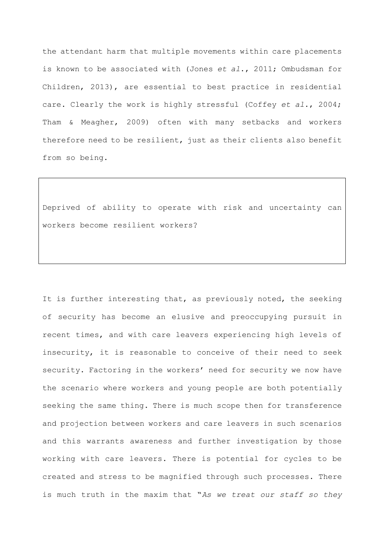the attendant harm that multiple movements within care placements is known to be associated with (Jones *et al*., 2011; Ombudsman for Children, 2013), are essential to best practice in residential care. Clearly the work is highly stressful (Coffey *et al*., 2004; Tham & Meagher, 2009) often with many setbacks and workers therefore need to be resilient, just as their clients also benefit from so being.

Deprived of ability to operate with risk and uncertainty can workers become resilient workers?

It is further interesting that, as previously noted, the seeking of security has become an elusive and preoccupying pursuit in recent times, and with care leavers experiencing high levels of insecurity, it is reasonable to conceive of their need to seek security. Factoring in the workers' need for security we now have the scenario where workers and young people are both potentially seeking the same thing. There is much scope then for transference and projection between workers and care leavers in such scenarios and this warrants awareness and further investigation by those working with care leavers. There is potential for cycles to be created and stress to be magnified through such processes. There is much truth in the maxim that "*As we treat our staff so they*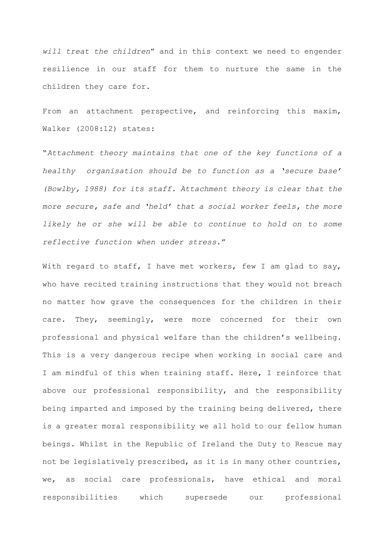*will treat the children*" and in this context we need to engender resilience in our staff for them to nurture the same in the children they care for.

From an attachment perspective, and reinforcing this maxim, Walker (2008:12) states:

"*Attachment theory maintains that one of the key functions of a healthy organisation should be to function as a 'secure base' (Bowlby, 1988) for its staff. Attachment theory is clear that the more secure, safe and 'held' that a social worker feels, the more likely he or she will be able to continue to hold on to some reflective function when under stress*."

With regard to staff, I have met workers, few I am glad to say, who have recited training instructions that they would not breach no matter how grave the consequences for the children in their care. They, seemingly, were more concerned for their own professional and physical welfare than the children's wellbeing. This is a very dangerous recipe when working in social care and I am mindful of this when training staff. Here, I reinforce that above our professional responsibility, and the responsibility being imparted and imposed by the training being delivered, there is a greater moral responsibility we all hold to our fellow human beings. Whilst in the Republic of Ireland the Duty to Rescue may not be legislatively prescribed, as it is in many other countries, we, as social care professionals, have ethical and moral responsibilities which supersede our professional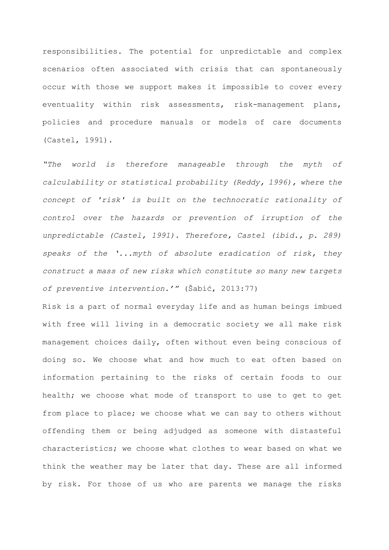responsibilities. The potential for unpredictable and complex scenarios often associated with crisis that can spontaneously occur with those we support makes it impossible to cover every eventuality within risk assessments, risk-management plans, policies and procedure manuals or models of care documents (Castel, 1991).

*"The world is therefore manageable through the myth of calculability or statistical probability (Reddy, 1996), where the concept of 'risk' is built on the technocratic rationality of control over the hazards or prevention of irruption of the unpredictable (Castel, 1991). Therefore, Castel (ibid., p. 289) speaks of the '...myth of absolute eradication of risk, they construct a mass of new risks which constitute so many new targets of preventive intervention.'"* (Šabić, 2013:77)

Risk is a part of normal everyday life and as human beings imbued with free will living in a democratic society we all make risk management choices daily, often without even being conscious of doing so. We choose what and how much to eat often based on information pertaining to the risks of certain foods to our health; we choose what mode of transport to use to get to get from place to place; we choose what we can say to others without offending them or being adjudged as someone with distasteful characteristics; we choose what clothes to wear based on what we think the weather may be later that day. These are all informed by risk. For those of us who are parents we manage the risks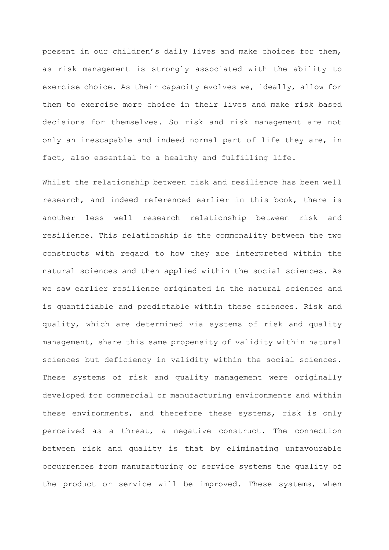present in our children's daily lives and make choices for them, as risk management is strongly associated with the ability to exercise choice. As their capacity evolves we, ideally, allow for them to exercise more choice in their lives and make risk based decisions for themselves. So risk and risk management are not only an inescapable and indeed normal part of life they are, in fact, also essential to a healthy and fulfilling life.

Whilst the relationship between risk and resilience has been well research, and indeed referenced earlier in this book, there is another less well research relationship between risk and resilience. This relationship is the commonality between the two constructs with regard to how they are interpreted within the natural sciences and then applied within the social sciences. As we saw earlier resilience originated in the natural sciences and is quantifiable and predictable within these sciences. Risk and quality, which are determined via systems of risk and quality management, share this same propensity of validity within natural sciences but deficiency in validity within the social sciences. These systems of risk and quality management were originally developed for commercial or manufacturing environments and within these environments, and therefore these systems, risk is only perceived as a threat, a negative construct. The connection between risk and quality is that by eliminating unfavourable occurrences from manufacturing or service systems the quality of the product or service will be improved. These systems, when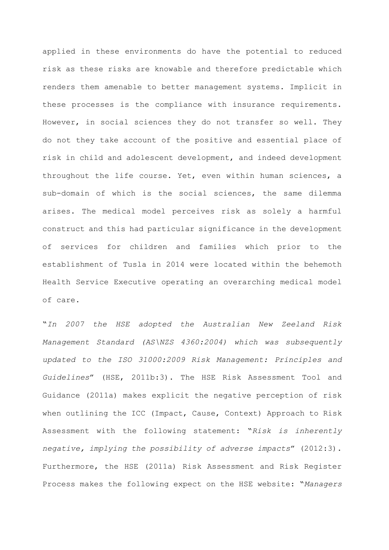applied in these environments do have the potential to reduced risk as these risks are knowable and therefore predictable which renders them amenable to better management systems. Implicit in these processes is the compliance with insurance requirements. However, in social sciences they do not transfer so well. They do not they take account of the positive and essential place of risk in child and adolescent development, and indeed development throughout the life course. Yet, even within human sciences, a sub-domain of which is the social sciences, the same dilemma arises. The medical model perceives risk as solely a harmful construct and this had particular significance in the development of services for children and families which prior to the establishment of Tusla in 2014 were located within the behemoth Health Service Executive operating an overarching medical model of care.

"*In 2007 the HSE adopted the Australian New Zeeland Risk Management Standard (AS\NZS 4360:2004) which was subsequently updated to the ISO 31000:2009 Risk Management: Principles and Guidelines*" (HSE, 2011b:3). The HSE Risk Assessment Tool and Guidance (2011a) makes explicit the negative perception of risk when outlining the ICC (Impact, Cause, Context) Approach to Risk Assessment with the following statement: "*Risk is inherently negative, implying the possibility of adverse impacts*" (2012:3). Furthermore, the HSE (2011a) Risk Assessment and Risk Register Process makes the following expect on the HSE website: "*Managers*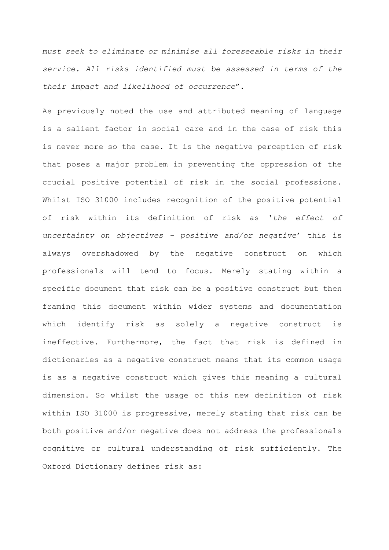*must seek to eliminate or minimise all foreseeable risks in their service. All risks identified must be assessed in terms of the their impact and likelihood of occurrence*".

As previously noted the use and attributed meaning of language is a salient factor in social care and in the case of risk this is never more so the case. It is the negative perception of risk that poses a major problem in preventing the oppression of the crucial positive potential of risk in the social professions. Whilst ISO 31000 includes recognition of the positive potential of risk within its definition of risk as '*the effect of uncertainty on objectives - positive and/or negative*' this is always overshadowed by the negative construct on which professionals will tend to focus. Merely stating within a specific document that risk can be a positive construct but then framing this document within wider systems and documentation which identify risk as solely a negative construct is ineffective. Furthermore, the fact that risk is defined in dictionaries as a negative construct means that its common usage is as a negative construct which gives this meaning a cultural dimension. So whilst the usage of this new definition of risk within ISO 31000 is progressive, merely stating that risk can be both positive and/or negative does not address the professionals cognitive or cultural understanding of risk sufficiently. The Oxford Dictionary defines risk as: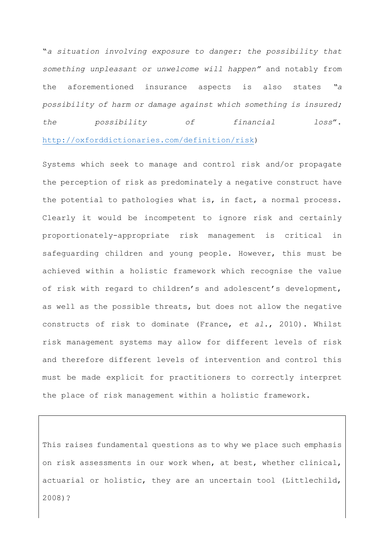"*a situation involving exposure to danger: the possibility that something unpleasant or unwelcome will happen"* and notably from the aforementioned insurance aspects is also states *"a possibility of harm or damage against which something is insured; the possibility of financial loss*". [http://oxforddictionaries.com/definition/risk\)](http://oxforddictionaries.com/definition/risk)

Systems which seek to manage and control risk and/or propagate the perception of risk as predominately a negative construct have the potential to pathologies what is, in fact, a normal process. Clearly it would be incompetent to ignore risk and certainly proportionately-appropriate risk management is critical in safeguarding children and young people. However, this must be achieved within a holistic framework which recognise the value of risk with regard to children's and adolescent's development, as well as the possible threats, but does not allow the negative constructs of risk to dominate (France, *et al*., 2010). Whilst risk management systems may allow for different levels of risk and therefore different levels of intervention and control this must be made explicit for practitioners to correctly interpret the place of risk management within a holistic framework.

This raises fundamental questions as to why we place such emphasis on risk assessments in our work when, at best, whether clinical, actuarial or holistic, they are an uncertain tool (Littlechild, 2008)?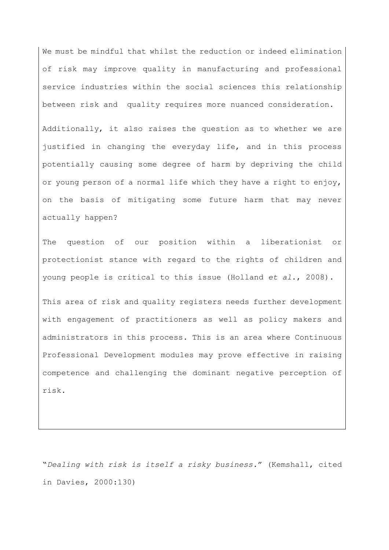We must be mindful that whilst the reduction or indeed elimination of risk may improve quality in manufacturing and professional service industries within the social sciences this relationship between risk and quality requires more nuanced consideration.

Additionally, it also raises the question as to whether we are justified in changing the everyday life, and in this process potentially causing some degree of harm by depriving the child or young person of a normal life which they have a right to enjoy, on the basis of mitigating some future harm that may never actually happen?

The question of our position within a liberationist or protectionist stance with regard to the rights of children and young people is critical to this issue (Holland *et al*., 2008).

This area of risk and quality registers needs further development with engagement of practitioners as well as policy makers and administrators in this process. This is an area where Continuous Professional Development modules may prove effective in raising competence and challenging the dominant negative perception of risk.

"*Dealing with risk is itself a risky business.*" (Kemshall, cited in Davies, 2000:130)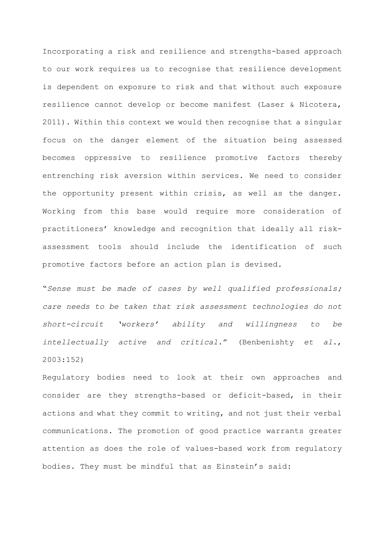Incorporating a risk and resilience and strengths-based approach to our work requires us to recognise that resilience development is dependent on exposure to risk and that without such exposure resilience cannot develop or become manifest (Laser & Nicotera, 2011). Within this context we would then recognise that a singular focus on the danger element of the situation being assessed becomes oppressive to resilience promotive factors thereby entrenching risk aversion within services. We need to consider the opportunity present within crisis, as well as the danger. Working from this base would require more consideration of practitioners' knowledge and recognition that ideally all riskassessment tools should include the identification of such promotive factors before an action plan is devised.

"*Sense must be made of cases by well qualified professionals; care needs to be taken that risk assessment technologies do not short-circuit 'workers' ability and willingness to be intellectually active and critical*." (Benbenishty *et al*., 2003:152)

Regulatory bodies need to look at their own approaches and consider are they strengths-based or deficit-based, in their actions and what they commit to writing, and not just their verbal communications. The promotion of good practice warrants greater attention as does the role of values-based work from regulatory bodies. They must be mindful that as Einstein's said: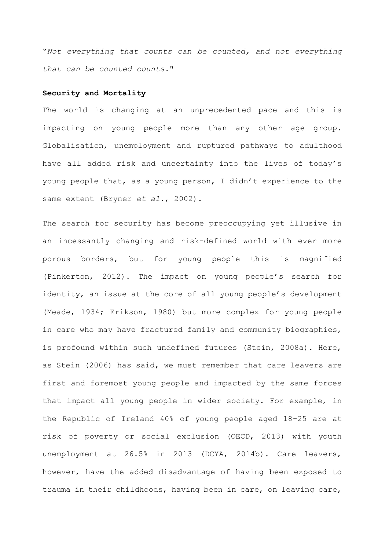"*Not everything that counts can be counted, and not everything that can be counted counts.*"

## **Security and Mortality**

The world is changing at an unprecedented pace and this is impacting on young people more than any other age group. Globalisation, unemployment and ruptured pathways to adulthood have all added risk and uncertainty into the lives of today's young people that, as a young person, I didn't experience to the same extent (Bryner *et al.*, 2002).

The search for security has become preoccupying yet illusive in an incessantly changing and risk-defined world with ever more porous borders, but for young people this is magnified (Pinkerton, 2012). The impact on young people's search for identity, an issue at the core of all young people's development (Meade, 1934; Erikson, 1980) but more complex for young people in care who may have fractured family and community biographies, is profound within such undefined futures (Stein, 2008a). Here, as Stein (2006) has said, we must remember that care leavers are first and foremost young people and impacted by the same forces that impact all young people in wider society. For example, in the Republic of Ireland 40% of young people aged 18-25 are at risk of poverty or social exclusion (OECD, 2013) with youth unemployment at 26.5% in 2013 (DCYA, 2014b). Care leavers, however, have the added disadvantage of having been exposed to trauma in their childhoods, having been in care, on leaving care,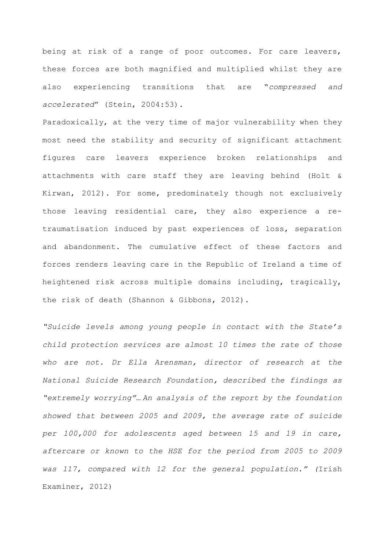being at risk of a range of poor outcomes. For care leavers, these forces are both magnified and multiplied whilst they are also experiencing transitions that are "*compressed and accelerated*" (Stein, 2004:53).

Paradoxically, at the very time of major vulnerability when they most need the stability and security of significant attachment figures care leavers experience broken relationships and attachments with care staff they are leaving behind (Holt & Kirwan, 2012). For some, predominately though not exclusively those leaving residential care, they also experience a retraumatisation induced by past experiences of loss, separation and abandonment. The cumulative effect of these factors and forces renders leaving care in the Republic of Ireland a time of heightened risk across multiple domains including, tragically, the risk of death (Shannon & Gibbons, 2012).

*"Suicide levels among young people in contact with the State's child protection services are almost 10 times the rate of those who are not. Dr Ella Arensman, director of research at the National Suicide Research Foundation, described the findings as "extremely worrying"… An analysis of the report by the foundation showed that between 2005 and 2009, the average rate of suicide per 100,000 for adolescents aged between 15 and 19 in care, aftercare or known to the HSE for the period from 2005 to 2009 was 117, compared with 12 for the general population." (*Irish Examiner, 2012)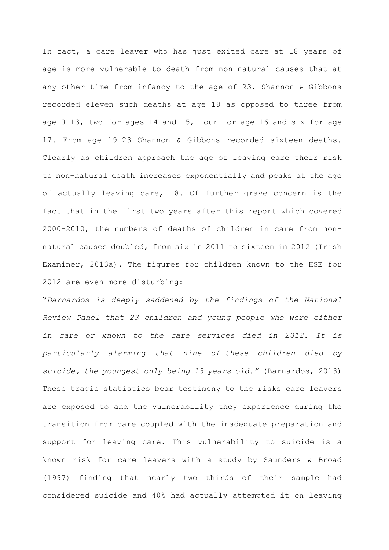In fact, a care leaver who has just exited care at 18 years of age is more vulnerable to death from non-natural causes that at any other time from infancy to the age of 23. Shannon & Gibbons recorded eleven such deaths at age 18 as opposed to three from age 0-13, two for ages 14 and 15, four for age 16 and six for age 17. From age 19-23 Shannon & Gibbons recorded sixteen deaths. Clearly as children approach the age of leaving care their risk to non-natural death increases exponentially and peaks at the age of actually leaving care, 18. Of further grave concern is the fact that in the first two years after this report which covered 2000-2010, the numbers of deaths of children in care from nonnatural causes doubled, from six in 2011 to sixteen in 2012 (Irish Examiner, 2013a). The figures for children known to the HSE for 2012 are even more disturbing:

"*Barnardos is deeply saddened by the findings of the National Review Panel that 23 children and young people who were either in care or known to the care services died in 2012. It is particularly alarming that nine of these children died by suicide, the youngest only being 13 years old."* (Barnardos, 2013) These tragic statistics bear testimony to the risks care leavers are exposed to and the vulnerability they experience during the transition from care coupled with the inadequate preparation and support for leaving care. This vulnerability to suicide is a known risk for care leavers with a study by Saunders & Broad (1997) finding that nearly two thirds of their sample had considered suicide and 40% had actually attempted it on leaving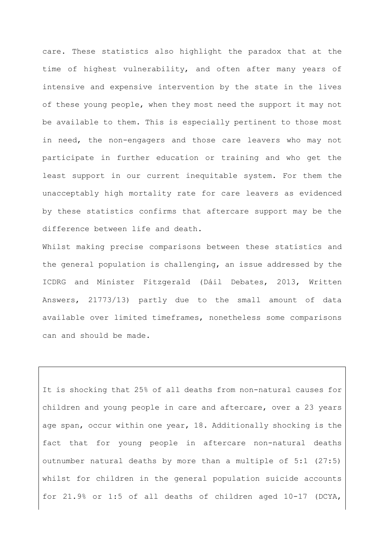care. These statistics also highlight the paradox that at the time of highest vulnerability, and often after many years of intensive and expensive intervention by the state in the lives of these young people, when they most need the support it may not be available to them. This is especially pertinent to those most in need, the non-engagers and those care leavers who may not participate in further education or training and who get the least support in our current inequitable system. For them the unacceptably high mortality rate for care leavers as evidenced by these statistics confirms that aftercare support may be the difference between life and death.

Whilst making precise comparisons between these statistics and the general population is challenging, an issue addressed by the ICDRG and Minister Fitzgerald (Dáil Debates, 2013, Written Answers, 21773/13) partly due to the small amount of data available over limited timeframes, nonetheless some comparisons can and should be made.

It is shocking that 25% of all deaths from non-natural causes for children and young people in care and aftercare, over a 23 years age span, occur within one year, 18. Additionally shocking is the fact that for young people in aftercare non-natural deaths outnumber natural deaths by more than a multiple of 5:1 (27:5) whilst for children in the general population suicide accounts for 21.9% or 1:5 of all deaths of children aged 10-17 (DCYA,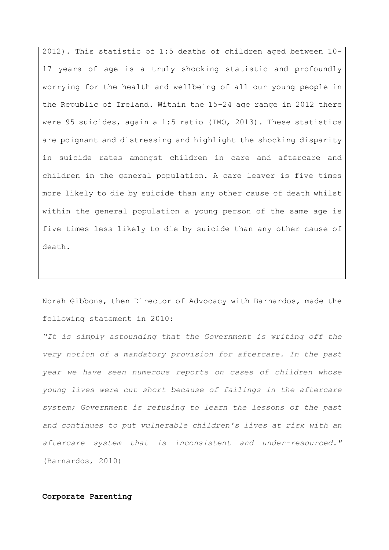2012). This statistic of 1:5 deaths of children aged between 10- 17 years of age is a truly shocking statistic and profoundly worrying for the health and wellbeing of all our young people in the Republic of Ireland. Within the 15-24 age range in 2012 there were 95 suicides, again a 1:5 ratio (IMO, 2013). These statistics are poignant and distressing and highlight the shocking disparity in suicide rates amongst children in care and aftercare and children in the general population. A care leaver is five times more likely to die by suicide than any other cause of death whilst within the general population a young person of the same age is five times less likely to die by suicide than any other cause of death.

Norah Gibbons, then Director of Advocacy with Barnardos, made the following statement in 2010:

*"It is simply astounding that the Government is writing off the very notion of a mandatory provision for aftercare. In the past year we have seen numerous reports on cases of children whose young lives were cut short because of failings in the aftercare system; Government is refusing to learn the lessons of the past and continues to put vulnerable children's lives at risk with an aftercare system that is inconsistent and under-resourced."*  (Barnardos, 2010)

## **Corporate Parenting**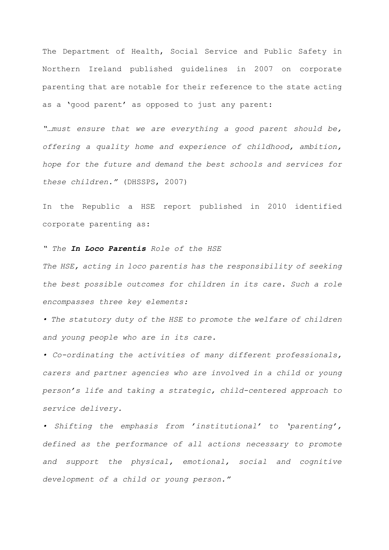The Department of Health, Social Service and Public Safety in Northern Ireland published guidelines in 2007 on corporate parenting that are notable for their reference to the state acting as a 'good parent' as opposed to just any parent:

*"…must ensure that we are everything a good parent should be, offering a quality home and experience of childhood, ambition, hope for the future and demand the best schools and services for these children."* (DHSSPS, 2007)

In the Republic a HSE report published in 2010 identified corporate parenting as:

*" The In Loco Parentis Role of the HSE*

*The HSE, acting in loco parentis has the responsibility of seeking the best possible outcomes for children in its care. Such a role encompasses three key elements:*

*• The statutory duty of the HSE to promote the welfare of children and young people who are in its care.*

*• Co-ordinating the activities of many different professionals, carers and partner agencies who are involved in a child or young person's life and taking a strategic, child-centered approach to service delivery.*

*• Shifting the emphasis from 'institutional' to 'parenting', defined as the performance of all actions necessary to promote and support the physical, emotional, social and cognitive development of a child or young person."*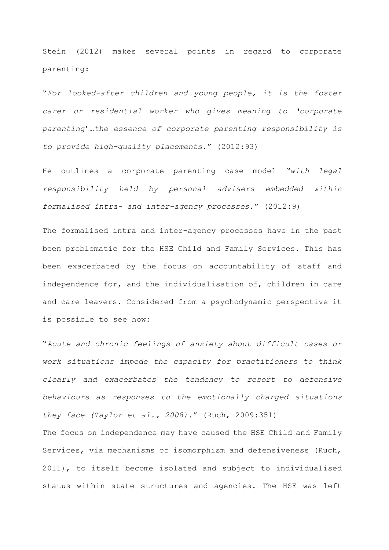Stein (2012) makes several points in regard to corporate parenting:

"*For looked-after children and young people, it is the foster carer or residential worker who gives meaning to 'corporate parenting*'…*the essence of corporate parenting responsibility is to provide high-quality placements.*" (2012:93)

He outlines a corporate parenting case model *"with legal responsibility held by personal advisers embedded within formalised intra- and inter-agency processes.*" (2012:9)

The formalised intra and inter-agency processes have in the past been problematic for the HSE Child and Family Services. This has been exacerbated by the focus on accountability of staff and independence for, and the individualisation of, children in care and care leavers. Considered from a psychodynamic perspective it is possible to see how:

"*Acute and chronic feelings of anxiety about difficult cases or work situations impede the capacity for practitioners to think clearly and exacerbates the tendency to resort to defensive behaviours as responses to the emotionally charged situations they face (Taylor et al., 2008)*." (Ruch, 2009:351)

The focus on independence may have caused the HSE Child and Family Services, via mechanisms of isomorphism and defensiveness (Ruch, 2011), to itself become isolated and subject to individualised status within state structures and agencies. The HSE was left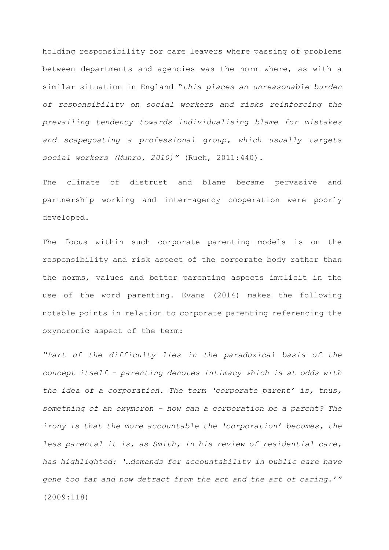holding responsibility for care leavers where passing of problems between departments and agencies was the norm where, as with a similar situation in England "*this places an unreasonable burden of responsibility on social workers and risks reinforcing the prevailing tendency towards individualising blame for mistakes and scapegoating a professional group, which usually targets social workers (Munro, 2010)"* (Ruch, 2011:440).

The climate of distrust and blame became pervasive and partnership working and inter-agency cooperation were poorly developed.

The focus within such corporate parenting models is on the responsibility and risk aspect of the corporate body rather than the norms, values and better parenting aspects implicit in the use of the word parenting. Evans (2014) makes the following notable points in relation to corporate parenting referencing the oxymoronic aspect of the term:

*"Part of the difficulty lies in the paradoxical basis of the concept itself – parenting denotes intimacy which is at odds with the idea of a corporation. The term 'corporate parent' is, thus, something of an oxymoron – how can a corporation be a parent? The irony is that the more accountable the 'corporation' becomes, the less parental it is, as Smith, in his review of residential care, has highlighted: '…demands for accountability in public care have gone too far and now detract from the act and the art of caring.'"*  (2009:118)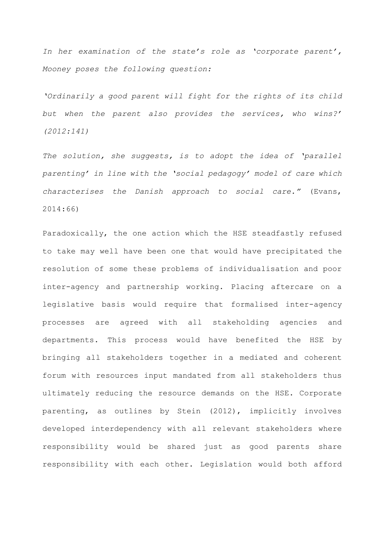*In her examination of the state's role as 'corporate parent', Mooney poses the following question:*

*'Ordinarily a good parent will fight for the rights of its child but when the parent also provides the services, who wins?' (2012:141)*

*The solution, she suggests, is to adopt the idea of 'parallel parenting' in line with the 'social pedagogy' model of care which characterises the Danish approach to social care."* (Evans, 2014:66)

Paradoxically, the one action which the HSE steadfastly refused to take may well have been one that would have precipitated the resolution of some these problems of individualisation and poor inter-agency and partnership working. Placing aftercare on a legislative basis would require that formalised inter-agency processes are agreed with all stakeholding agencies and departments. This process would have benefited the HSE by bringing all stakeholders together in a mediated and coherent forum with resources input mandated from all stakeholders thus ultimately reducing the resource demands on the HSE. Corporate parenting, as outlines by Stein (2012), implicitly involves developed interdependency with all relevant stakeholders where responsibility would be shared just as good parents share responsibility with each other. Legislation would both afford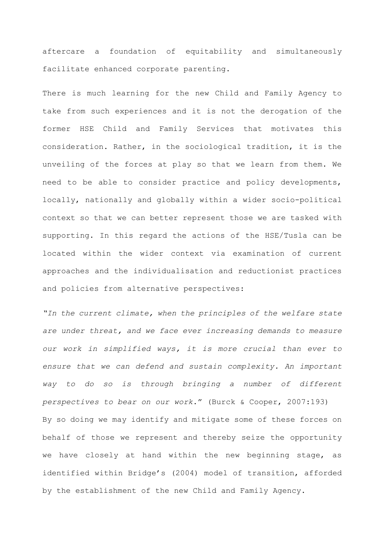aftercare a foundation of equitability and simultaneously facilitate enhanced corporate parenting.

There is much learning for the new Child and Family Agency to take from such experiences and it is not the derogation of the former HSE Child and Family Services that motivates this consideration. Rather, in the sociological tradition, it is the unveiling of the forces at play so that we learn from them. We need to be able to consider practice and policy developments, locally, nationally and globally within a wider socio-political context so that we can better represent those we are tasked with supporting. In this regard the actions of the HSE/Tusla can be located within the wider context via examination of current approaches and the individualisation and reductionist practices and policies from alternative perspectives:

*"In the current climate, when the principles of the welfare state are under threat, and we face ever increasing demands to measure our work in simplified ways, it is more crucial than ever to ensure that we can defend and sustain complexity. An important way to do so is through bringing a number of different perspectives to bear on our work*." (Burck & Cooper, 2007:193) By so doing we may identify and mitigate some of these forces on behalf of those we represent and thereby seize the opportunity we have closely at hand within the new beginning stage, as identified within Bridge's (2004) model of transition, afforded by the establishment of the new Child and Family Agency.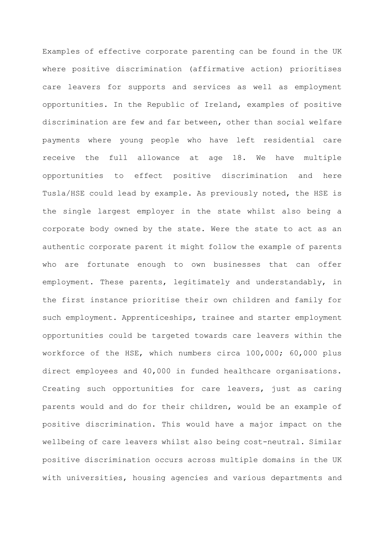Examples of effective corporate parenting can be found in the UK where positive discrimination (affirmative action) prioritises care leavers for supports and services as well as employment opportunities. In the Republic of Ireland, examples of positive discrimination are few and far between, other than social welfare payments where young people who have left residential care receive the full allowance at age 18. We have multiple opportunities to effect positive discrimination and here Tusla/HSE could lead by example. As previously noted, the HSE is the single largest employer in the state whilst also being a corporate body owned by the state. Were the state to act as an authentic corporate parent it might follow the example of parents who are fortunate enough to own businesses that can offer employment. These parents, legitimately and understandably, in the first instance prioritise their own children and family for such employment. Apprenticeships, trainee and starter employment opportunities could be targeted towards care leavers within the workforce of the HSE, which numbers circa 100,000; 60,000 plus direct employees and 40,000 in funded healthcare organisations. Creating such opportunities for care leavers, just as caring parents would and do for their children, would be an example of positive discrimination. This would have a major impact on the wellbeing of care leavers whilst also being cost-neutral. Similar positive discrimination occurs across multiple domains in the UK with universities, housing agencies and various departments and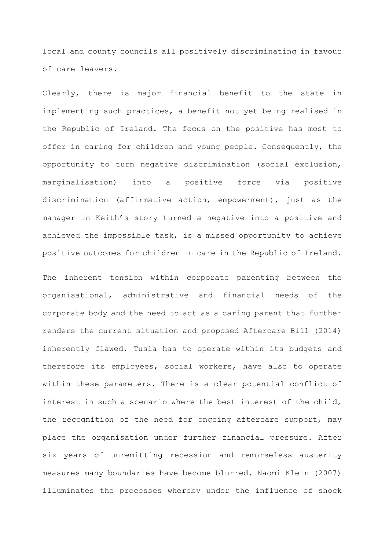local and county councils all positively discriminating in favour of care leavers.

Clearly, there is major financial benefit to the state in implementing such practices, a benefit not yet being realised in the Republic of Ireland. The focus on the positive has most to offer in caring for children and young people. Consequently, the opportunity to turn negative discrimination (social exclusion, marginalisation) into a positive force via positive discrimination (affirmative action, empowerment), just as the manager in Keith's story turned a negative into a positive and achieved the impossible task, is a missed opportunity to achieve positive outcomes for children in care in the Republic of Ireland.

The inherent tension within corporate parenting between the organisational, administrative and financial needs of the corporate body and the need to act as a caring parent that further renders the current situation and proposed Aftercare Bill (2014) inherently flawed. Tusla has to operate within its budgets and therefore its employees, social workers, have also to operate within these parameters. There is a clear potential conflict of interest in such a scenario where the best interest of the child, the recognition of the need for ongoing aftercare support, may place the organisation under further financial pressure. After six years of unremitting recession and remorseless austerity measures many boundaries have become blurred. Naomi Klein (2007) illuminates the processes whereby under the influence of shock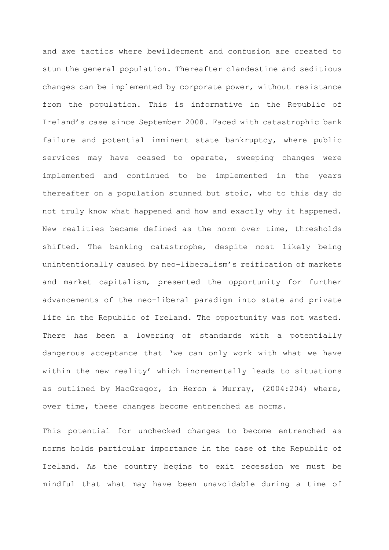and awe tactics where bewilderment and confusion are created to stun the general population. Thereafter clandestine and seditious changes can be implemented by corporate power, without resistance from the population. This is informative in the Republic of Ireland's case since September 2008. Faced with catastrophic bank failure and potential imminent state bankruptcy, where public services may have ceased to operate, sweeping changes were implemented and continued to be implemented in the years thereafter on a population stunned but stoic, who to this day do not truly know what happened and how and exactly why it happened. New realities became defined as the norm over time, thresholds shifted. The banking catastrophe, despite most likely being unintentionally caused by neo-liberalism's reification of markets and market capitalism, presented the opportunity for further advancements of the neo-liberal paradigm into state and private life in the Republic of Ireland. The opportunity was not wasted. There has been a lowering of standards with a potentially dangerous acceptance that 'we can only work with what we have within the new reality' which incrementally leads to situations as outlined by MacGregor, in Heron & Murray, (2004:204) where, over time, these changes become entrenched as norms.

This potential for unchecked changes to become entrenched as norms holds particular importance in the case of the Republic of Ireland. As the country begins to exit recession we must be mindful that what may have been unavoidable during a time of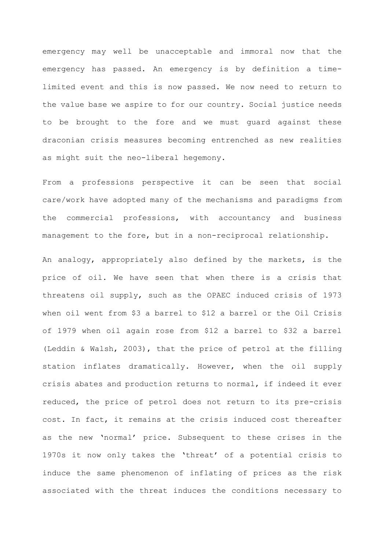emergency may well be unacceptable and immoral now that the emergency has passed. An emergency is by definition a timelimited event and this is now passed. We now need to return to the value base we aspire to for our country. Social justice needs to be brought to the fore and we must guard against these draconian crisis measures becoming entrenched as new realities as might suit the neo-liberal hegemony.

From a professions perspective it can be seen that social care/work have adopted many of the mechanisms and paradigms from the commercial professions, with accountancy and business management to the fore, but in a non-reciprocal relationship.

An analogy, appropriately also defined by the markets, is the price of oil. We have seen that when there is a crisis that threatens oil supply, such as the OPAEC induced crisis of 1973 when oil went from \$3 a barrel to \$12 a barrel or the Oil Crisis of 1979 when oil again rose from \$12 a barrel to \$32 a barrel (Leddin & Walsh, 2003), that the price of petrol at the filling station inflates dramatically. However, when the oil supply crisis abates and production returns to normal, if indeed it ever reduced, the price of petrol does not return to its pre-crisis cost. In fact, it remains at the crisis induced cost thereafter as the new 'normal' price. Subsequent to these crises in the 1970s it now only takes the 'threat' of a potential crisis to induce the same phenomenon of inflating of prices as the risk associated with the threat induces the conditions necessary to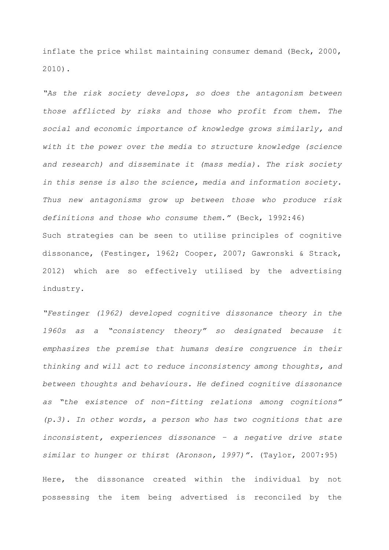inflate the price whilst maintaining consumer demand (Beck, 2000, 2010).

*"As the risk society develops, so does the antagonism between those afflicted by risks and those who profit from them. The social and economic importance of knowledge grows similarly, and with it the power over the media to structure knowledge (science and research) and disseminate it (mass media). The risk society in this sense is also the science, media and information society. Thus new antagonisms grow up between those who produce risk definitions and those who consume them*.*"* (Beck, 1992:46) Such strategies can be seen to utilise principles of cognitive dissonance, (Festinger, 1962; Cooper, 2007; Gawronski & Strack, 2012) which are so effectively utilised by the advertising industry.

*"Festinger (1962) developed cognitive dissonance theory in the 1960s as a "consistency theory" so designated because it emphasizes the premise that humans desire congruence in their thinking and will act to reduce inconsistency among thoughts, and between thoughts and behaviours. He defined cognitive dissonance as "the existence of non-fitting relations among cognitions" (p.3). In other words, a person who has two cognitions that are inconsistent, experiences dissonance – a negative drive state similar to hunger or thirst (Aronson, 1997)".* (Taylor, 2007:95)

Here, the dissonance created within the individual by not possessing the item being advertised is reconciled by the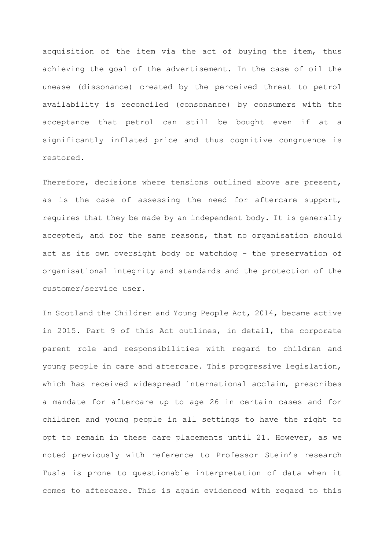acquisition of the item via the act of buying the item, thus achieving the goal of the advertisement. In the case of oil the unease (dissonance) created by the perceived threat to petrol availability is reconciled (consonance) by consumers with the acceptance that petrol can still be bought even if at a significantly inflated price and thus cognitive congruence is restored.

Therefore, decisions where tensions outlined above are present, as is the case of assessing the need for aftercare support, requires that they be made by an independent body. It is generally accepted, and for the same reasons, that no organisation should act as its own oversight body or watchdog - the preservation of organisational integrity and standards and the protection of the customer/service user.

In Scotland the Children and Young People Act, 2014, became active in 2015. Part 9 of this Act outlines, in detail, the corporate parent role and responsibilities with regard to children and young people in care and aftercare. This progressive legislation, which has received widespread international acclaim, prescribes a mandate for aftercare up to age 26 in certain cases and for children and young people in all settings to have the right to opt to remain in these care placements until 21. However, as we noted previously with reference to Professor Stein's research Tusla is prone to questionable interpretation of data when it comes to aftercare. This is again evidenced with regard to this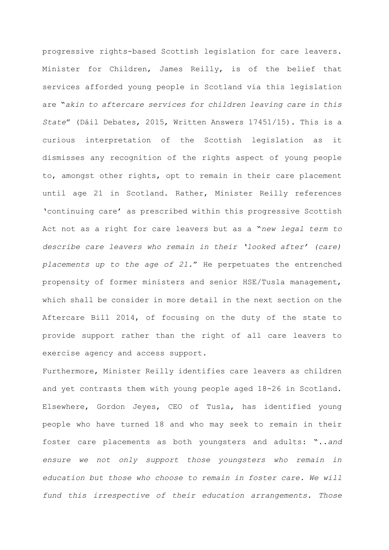progressive rights-based Scottish legislation for care leavers. Minister for Children, James Reilly, is of the belief that services afforded young people in Scotland via this legislation are "*akin to aftercare services for children leaving care in this State*" (Dáil Debates, 2015, Written Answers 17451/15). This is a curious interpretation of the Scottish legislation as it dismisses any recognition of the rights aspect of young people to, amongst other rights, opt to remain in their care placement until age 21 in Scotland. Rather, Minister Reilly references 'continuing care' as prescribed within this progressive Scottish Act not as a right for care leavers but as a "*new legal term to describe care leavers who remain in their 'looked after' (care) placements up to the age of 21.*" He perpetuates the entrenched propensity of former ministers and senior HSE/Tusla management, which shall be consider in more detail in the next section on the Aftercare Bill 2014, of focusing on the duty of the state to provide support rather than the right of all care leavers to exercise agency and access support.

Furthermore, Minister Reilly identifies care leavers as children and yet contrasts them with young people aged 18-26 in Scotland. Elsewhere, Gordon Jeyes, CEO of Tusla, has identified young people who have turned 18 and who may seek to remain in their foster care placements as both youngsters and adults: "..*and ensure we not only support those youngsters who remain in education but those who choose to remain in foster care. We will fund this irrespective of their education arrangements. Those*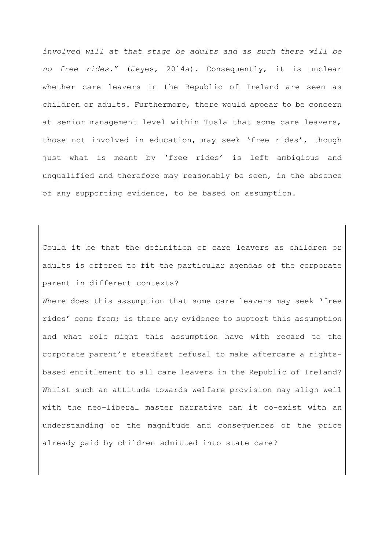*involved will at that stage be adults and as such there will be no free rides*." (Jeyes, 2014a). Consequently, it is unclear whether care leavers in the Republic of Ireland are seen as children or adults. Furthermore, there would appear to be concern at senior management level within Tusla that some care leavers, those not involved in education, may seek 'free rides', though just what is meant by 'free rides' is left ambigious and unqualified and therefore may reasonably be seen, in the absence of any supporting evidence, to be based on assumption.

Could it be that the definition of care leavers as children or adults is offered to fit the particular agendas of the corporate parent in different contexts?

Where does this assumption that some care leavers may seek 'free rides' come from; is there any evidence to support this assumption and what role might this assumption have with regard to the corporate parent's steadfast refusal to make aftercare a rightsbased entitlement to all care leavers in the Republic of Ireland? Whilst such an attitude towards welfare provision may align well with the neo-liberal master narrative can it co-exist with an understanding of the magnitude and consequences of the price already paid by children admitted into state care?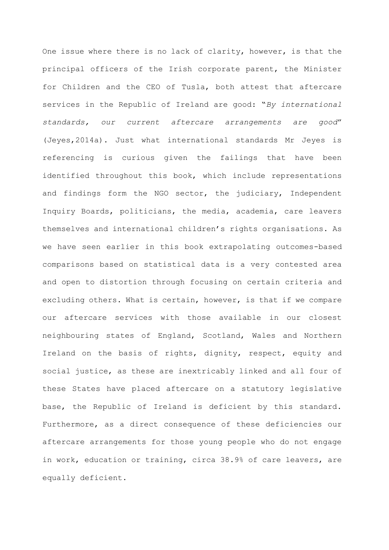One issue where there is no lack of clarity, however, is that the principal officers of the Irish corporate parent, the Minister for Children and the CEO of Tusla, both attest that aftercare services in the Republic of Ireland are good: "*By international standards, our current aftercare arrangements are good*" (Jeyes,2014a). Just what international standards Mr Jeyes is referencing is curious given the failings that have been identified throughout this book, which include representations and findings form the NGO sector, the judiciary, Independent Inquiry Boards, politicians, the media, academia, care leavers themselves and international children's rights organisations. As we have seen earlier in this book extrapolating outcomes-based comparisons based on statistical data is a very contested area and open to distortion through focusing on certain criteria and excluding others. What is certain, however, is that if we compare our aftercare services with those available in our closest neighbouring states of England, Scotland, Wales and Northern Ireland on the basis of rights, dignity, respect, equity and social justice, as these are inextricably linked and all four of these States have placed aftercare on a statutory legislative base, the Republic of Ireland is deficient by this standard. Furthermore, as a direct consequence of these deficiencies our aftercare arrangements for those young people who do not engage in work, education or training, circa 38.9% of care leavers, are equally deficient.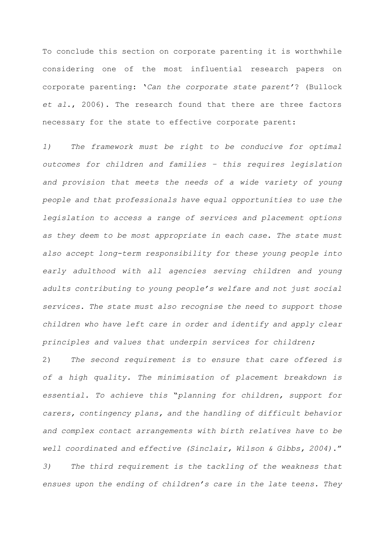To conclude this section on corporate parenting it is worthwhile considering one of the most influential research papers on corporate parenting: '*Can the corporate state parent'*? (Bullock *et al*., 2006). The research found that there are three factors necessary for the state to effective corporate parent:

*1) The framework must be right to be conducive for optimal outcomes for children and families – this requires legislation and provision that meets the needs of a wide variety of young people and that professionals have equal opportunities to use the legislation to access a range of services and placement options as they deem to be most appropriate in each case. The state must also accept long-term responsibility for these young people into early adulthood with all agencies serving children and young adults contributing to young people's welfare and not just social services. The state must also recognise the need to support those children who have left care in order and identify and apply clear principles and values that underpin services for children;* 

2) *The second requirement is to ensure that care offered is of a high quality. The minimisation of placement breakdown is essential. To achieve this* "*planning for children, support for carers, contingency plans, and the handling of difficult behavior and complex contact arrangements with birth relatives have to be well coordinated and effective (Sinclair, Wilson & Gibbs, 2004)*." *3) The third requirement is the tackling of the weakness that ensues upon the ending of children's care in the late teens. They*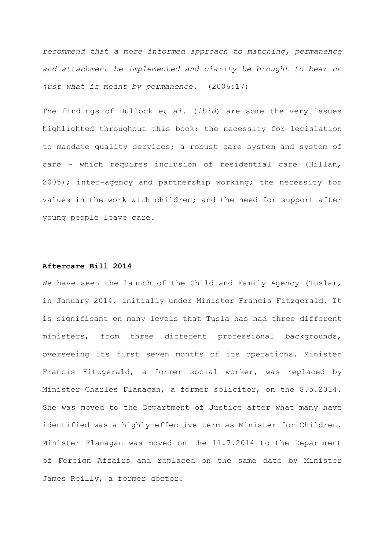*recommend that a more informed approach to matching, permanence and attachment be implemented and clarity be brought to bear on just what is meant by permanence.* (2006:17)

The findings of Bullock *et al.* (*ibid*) are some the very issues highlighted throughout this book: the necessity for legislation to mandate quality services; a robust care system and system of care - which requires inclusion of residential care (Hillan, 2005); inter-agency and partnership working; the necessity for values in the work with children; and the need for support after young people leave care.

## **Aftercare Bill 2014**

We have seen the launch of the Child and Family Agency (Tusla), in January 2014, initially under Minister Francis Fitzgerald. It is significant on many levels that Tusla has had three different ministers, from three different professional backgrounds, overseeing its first seven months of its operations. Minister Francis Fitzgerald, a former social worker, was replaced by Minister Charles Flanagan, a former solicitor, on the 8.5.2014. She was moved to the Department of Justice after what many have identified was a highly-effective term as Minister for Children. Minister Flanagan was moved on the 11.7.2014 to the Department of Foreign Affairs and replaced on the same date by Minister James Reilly, a former doctor.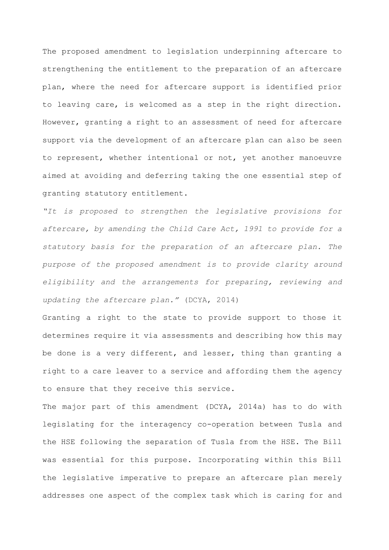The proposed amendment to legislation underpinning aftercare to strengthening the entitlement to the preparation of an aftercare plan, where the need for aftercare support is identified prior to leaving care, is welcomed as a step in the right direction. However, granting a right to an assessment of need for aftercare support via the development of an aftercare plan can also be seen to represent, whether intentional or not, yet another manoeuvre aimed at avoiding and deferring taking the one essential step of granting statutory entitlement.

*"It is proposed to strengthen the legislative provisions for aftercare, by amending the Child Care Act, 1991 to provide for a statutory basis for the preparation of an aftercare plan. The purpose of the proposed amendment is to provide clarity around eligibility and the arrangements for preparing, reviewing and updating the aftercare plan."* (DCYA, 2014)

Granting a right to the state to provide support to those it determines require it via assessments and describing how this may be done is a very different, and lesser, thing than granting a right to a care leaver to a service and affording them the agency to ensure that they receive this service.

The major part of this amendment (DCYA, 2014a) has to do with legislating for the interagency co-operation between Tusla and the HSE following the separation of Tusla from the HSE. The Bill was essential for this purpose. Incorporating within this Bill the legislative imperative to prepare an aftercare plan merely addresses one aspect of the complex task which is caring for and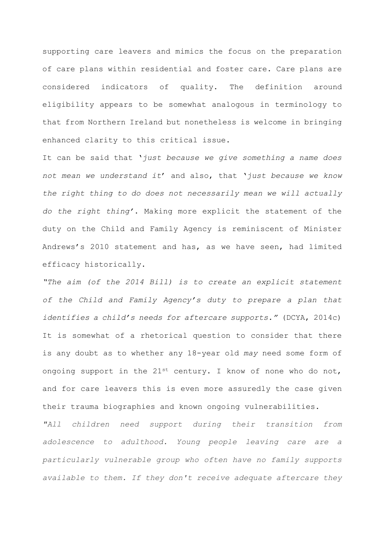supporting care leavers and mimics the focus on the preparation of care plans within residential and foster care. Care plans are considered indicators of quality. The definition around eligibility appears to be somewhat analogous in terminology to that from Northern Ireland but nonetheless is welcome in bringing enhanced clarity to this critical issue.

It can be said that '*just because we give something a name does not mean we understand it*' and also, that '*just because we know the right thing to do does not necessarily mean we will actually do the right thing'*. Making more explicit the statement of the duty on the Child and Family Agency is reminiscent of Minister Andrews's 2010 statement and has, as we have seen, had limited efficacy historically.

*"The aim (of the 2014 Bill) is to create an explicit statement of the Child and Family Agency's duty to prepare a plan that identifies a child's needs for aftercare supports."* (DCYA, 2014c) It is somewhat of a rhetorical question to consider that there is any doubt as to whether any 18-year old *may* need some form of ongoing support in the 21st century. I know of none who do not, and for care leavers this is even more assuredly the case given their trauma biographies and known ongoing vulnerabilities.

*"All children need support during their transition from adolescence to adulthood. Young people leaving care are a particularly vulnerable group who often have no family supports available to them. If they don't receive adequate aftercare they*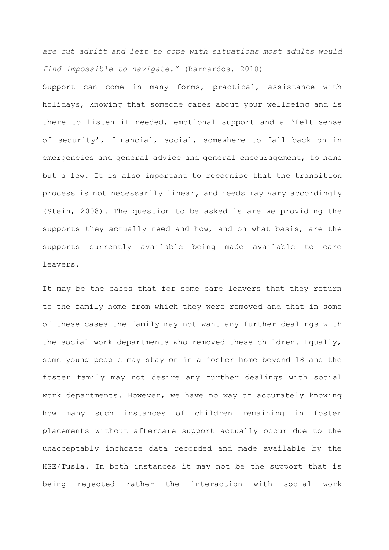*are cut adrift and left to cope with situations most adults would find impossible to navigate."* (Barnardos, 2010)

Support can come in many forms, practical, assistance with holidays, knowing that someone cares about your wellbeing and is there to listen if needed, emotional support and a 'felt-sense of security', financial, social, somewhere to fall back on in emergencies and general advice and general encouragement, to name but a few. It is also important to recognise that the transition process is not necessarily linear, and needs may vary accordingly (Stein, 2008). The question to be asked is are we providing the supports they actually need and how, and on what basis, are the supports currently available being made available to care leavers.

It may be the cases that for some care leavers that they return to the family home from which they were removed and that in some of these cases the family may not want any further dealings with the social work departments who removed these children. Equally, some young people may stay on in a foster home beyond 18 and the foster family may not desire any further dealings with social work departments. However, we have no way of accurately knowing how many such instances of children remaining in foster placements without aftercare support actually occur due to the unacceptably inchoate data recorded and made available by the HSE/Tusla. In both instances it may not be the support that is being rejected rather the interaction with social work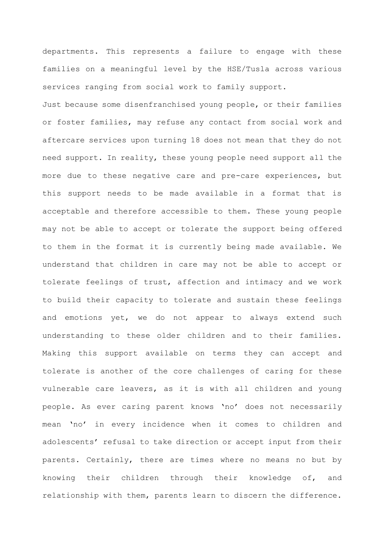departments. This represents a failure to engage with these families on a meaningful level by the HSE/Tusla across various services ranging from social work to family support.

Just because some disenfranchised young people, or their families or foster families, may refuse any contact from social work and aftercare services upon turning 18 does not mean that they do not need support. In reality, these young people need support all the more due to these negative care and pre-care experiences, but this support needs to be made available in a format that is acceptable and therefore accessible to them. These young people may not be able to accept or tolerate the support being offered to them in the format it is currently being made available. We understand that children in care may not be able to accept or tolerate feelings of trust, affection and intimacy and we work to build their capacity to tolerate and sustain these feelings and emotions yet, we do not appear to always extend such understanding to these older children and to their families. Making this support available on terms they can accept and tolerate is another of the core challenges of caring for these vulnerable care leavers, as it is with all children and young people. As ever caring parent knows 'no' does not necessarily mean 'no' in every incidence when it comes to children and adolescents' refusal to take direction or accept input from their parents. Certainly, there are times where no means no but by knowing their children through their knowledge of, and relationship with them, parents learn to discern the difference.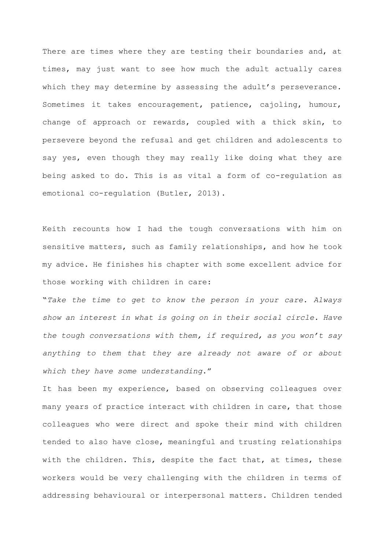There are times where they are testing their boundaries and, at times, may just want to see how much the adult actually cares which they may determine by assessing the adult's perseverance. Sometimes it takes encouragement, patience, cajoling, humour, change of approach or rewards, coupled with a thick skin, to persevere beyond the refusal and get children and adolescents to say yes, even though they may really like doing what they are being asked to do. This is as vital a form of co-regulation as emotional co-regulation (Butler, 2013).

Keith recounts how I had the tough conversations with him on sensitive matters, such as family relationships, and how he took my advice. He finishes his chapter with some excellent advice for those working with children in care:

"*Take the time to get to know the person in your care. Always show an interest in what is going on in their social circle. Have the tough conversations with them, if required, as you won't say anything to them that they are already not aware of or about which they have some understanding*."

It has been my experience, based on observing colleagues over many years of practice interact with children in care, that those colleagues who were direct and spoke their mind with children tended to also have close, meaningful and trusting relationships with the children. This, despite the fact that, at times, these workers would be very challenging with the children in terms of addressing behavioural or interpersonal matters. Children tended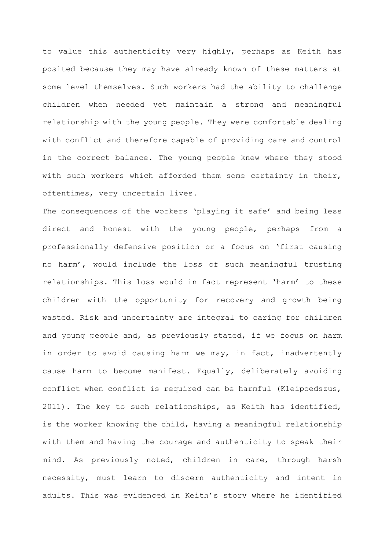to value this authenticity very highly, perhaps as Keith has posited because they may have already known of these matters at some level themselves. Such workers had the ability to challenge children when needed yet maintain a strong and meaningful relationship with the young people. They were comfortable dealing with conflict and therefore capable of providing care and control in the correct balance. The young people knew where they stood with such workers which afforded them some certainty in their, oftentimes, very uncertain lives.

The consequences of the workers 'playing it safe' and being less direct and honest with the young people, perhaps from a professionally defensive position or a focus on 'first causing no harm', would include the loss of such meaningful trusting relationships. This loss would in fact represent 'harm' to these children with the opportunity for recovery and growth being wasted. Risk and uncertainty are integral to caring for children and young people and, as previously stated, if we focus on harm in order to avoid causing harm we may, in fact, inadvertently cause harm to become manifest. Equally, deliberately avoiding conflict when conflict is required can be harmful (Kleipoedszus, 2011). The key to such relationships, as Keith has identified, is the worker knowing the child, having a meaningful relationship with them and having the courage and authenticity to speak their mind. As previously noted, children in care, through harsh necessity, must learn to discern authenticity and intent in adults. This was evidenced in Keith's story where he identified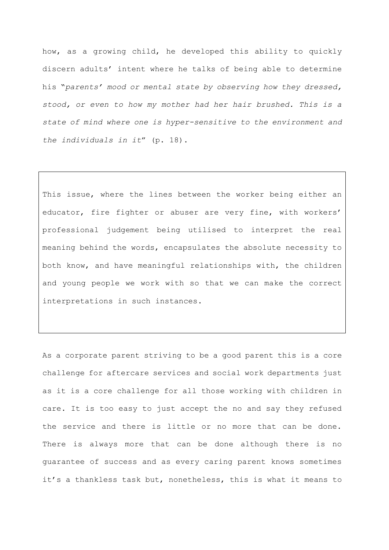how, as a growing child, he developed this ability to quickly discern adults' intent where he talks of being able to determine his "*parents' mood or mental state by observing how they dressed, stood, or even to how my mother had her hair brushed. This is a state of mind where one is hyper-sensitive to the environment and the individuals in it*" (p. 18).

This issue, where the lines between the worker being either an educator, fire fighter or abuser are very fine, with workers' professional judgement being utilised to interpret the real meaning behind the words, encapsulates the absolute necessity to both know, and have meaningful relationships with, the children and young people we work with so that we can make the correct interpretations in such instances.

As a corporate parent striving to be a good parent this is a core challenge for aftercare services and social work departments just as it is a core challenge for all those working with children in care. It is too easy to just accept the no and say they refused the service and there is little or no more that can be done. There is always more that can be done although there is no guarantee of success and as every caring parent knows sometimes it's a thankless task but, nonetheless, this is what it means to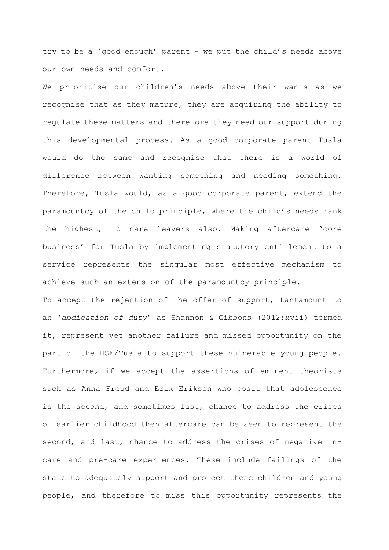try to be a 'good enough' parent - we put the child's needs above our own needs and comfort.

We prioritise our children's needs above their wants as we recognise that as they mature, they are acquiring the ability to regulate these matters and therefore they need our support during this developmental process. As a good corporate parent Tusla would do the same and recognise that there is a world of difference between wanting something and needing something. Therefore, Tusla would, as a good corporate parent, extend the paramountcy of the child principle, where the child's needs rank the highest, to care leavers also. Making aftercare 'core business' for Tusla by implementing statutory entitlement to a service represents the singular most effective mechanism to achieve such an extension of the paramountcy principle.

To accept the rejection of the offer of support, tantamount to an '*abdication of duty*' as Shannon & Gibbons (2012:xvii) termed it, represent yet another failure and missed opportunity on the part of the HSE/Tusla to support these vulnerable young people. Furthermore, if we accept the assertions of eminent theorists such as Anna Freud and Erik Erikson who posit that adolescence is the second, and sometimes last, chance to address the crises of earlier childhood then aftercare can be seen to represent the second, and last, chance to address the crises of negative incare and pre-care experiences. These include failings of the state to adequately support and protect these children and young people, and therefore to miss this opportunity represents the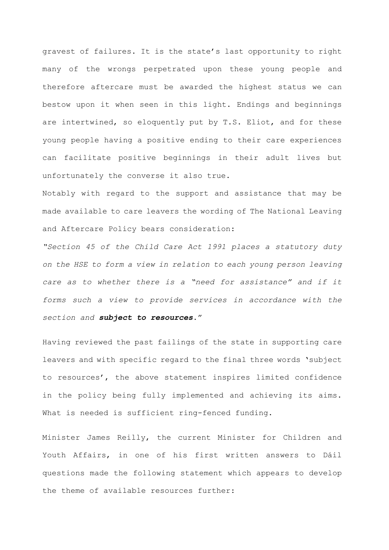gravest of failures. It is the state's last opportunity to right many of the wrongs perpetrated upon these young people and therefore aftercare must be awarded the highest status we can bestow upon it when seen in this light. Endings and beginnings are intertwined, so eloquently put by T.S. Eliot, and for these young people having a positive ending to their care experiences can facilitate positive beginnings in their adult lives but unfortunately the converse it also true.

Notably with regard to the support and assistance that may be made available to care leavers the wording of The National Leaving and Aftercare Policy bears consideration:

*"Section 45 of the Child Care Act 1991 places a statutory duty on the HSE to form a view in relation to each young person leaving*  care as to whether there is a "need for assistance" and if it *forms such a view to provide services in accordance with the section and subject to resources*."

Having reviewed the past failings of the state in supporting care leavers and with specific regard to the final three words 'subject to resources', the above statement inspires limited confidence in the policy being fully implemented and achieving its aims. What is needed is sufficient ring-fenced funding.

Minister James Reilly, the current Minister for Children and Youth Affairs, in one of his first written answers to Dáil questions made the following statement which appears to develop the theme of available resources further: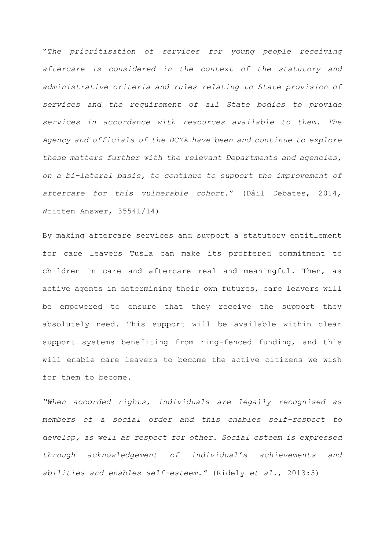"*The prioritisation of services for young people receiving aftercare is considered in the context of the statutory and administrative criteria and rules relating to State provision of services and the requirement of all State bodies to provide services in accordance with resources available to them. The Agency and officials of the DCYA have been and continue to explore these matters further with the relevant Departments and agencies, on a bi-lateral basis, to continue to support the improvement of aftercare for this vulnerable cohort*." (Dáil Debates, 2014, Written Answer, 35541/14)

By making aftercare services and support a statutory entitlement for care leavers Tusla can make its proffered commitment to children in care and aftercare real and meaningful. Then, as active agents in determining their own futures, care leavers will be empowered to ensure that they receive the support they absolutely need. This support will be available within clear support systems benefiting from ring-fenced funding, and this will enable care leavers to become the active citizens we wish for them to become.

*"When accorded rights, individuals are legally recognised as members of a social order and this enables self-respect to develop, as well as respect for other. Social esteem is expressed through acknowledgement of individual's achievements and abilities and enables self-esteem."* (Ridely *et al*., 2013:3)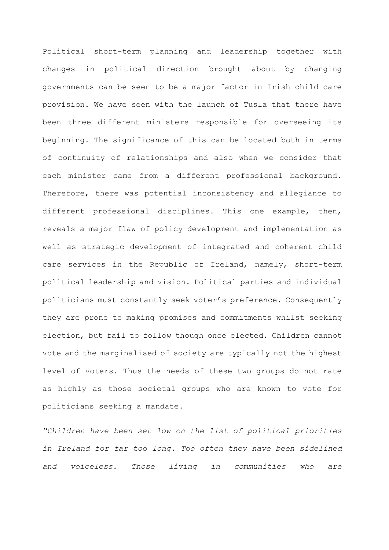Political short-term planning and leadership together with changes in political direction brought about by changing governments can be seen to be a major factor in Irish child care provision. We have seen with the launch of Tusla that there have been three different ministers responsible for overseeing its beginning. The significance of this can be located both in terms of continuity of relationships and also when we consider that each minister came from a different professional background. Therefore, there was potential inconsistency and allegiance to different professional disciplines. This one example, then, reveals a major flaw of policy development and implementation as well as strategic development of integrated and coherent child care services in the Republic of Ireland, namely, short-term political leadership and vision. Political parties and individual politicians must constantly seek voter's preference. Consequently they are prone to making promises and commitments whilst seeking election, but fail to follow though once elected. Children cannot vote and the marginalised of society are typically not the highest level of voters. Thus the needs of these two groups do not rate as highly as those societal groups who are known to vote for politicians seeking a mandate.

*"Children have been set low on the list of political priorities in Ireland for far too long. Too often they have been sidelined and voiceless. Those living in communities who are*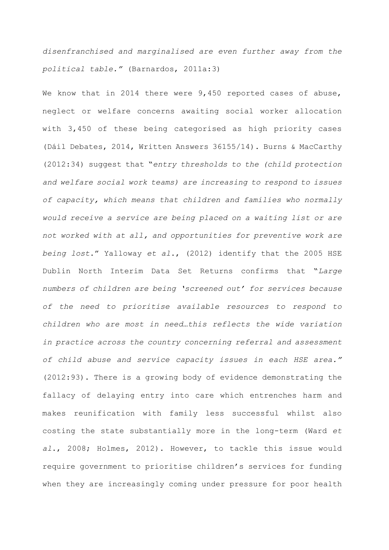*disenfranchised and marginalised are even further away from the political table."* (Barnardos, 2011a:3)

We know that in 2014 there were 9,450 reported cases of abuse, neglect or welfare concerns awaiting social worker allocation with 3,450 of these being categorised as high priority cases (Dáil Debates, 2014, Written Answers 36155/14). Burns & MacCarthy (2012:34) suggest that "*entry thresholds to the (child protection and welfare social work teams) are increasing to respond to issues of capacity, which means that children and families who normally would receive a service are being placed on a waiting list or are not worked with at all, and opportunities for preventive work are being lost*." Yalloway *et al*., (2012) identify that the 2005 HSE Dublin North Interim Data Set Returns confirms that "*Large numbers of children are being 'screened out' for services because of the need to prioritise available resources to respond to children who are most in need…this reflects the wide variation*  in practice across the country concerning referral and assessment *of child abuse and service capacity issues in each HSE area."* (2012:93). There is a growing body of evidence demonstrating the fallacy of delaying entry into care which entrenches harm and makes reunification with family less successful whilst also costing the state substantially more in the long-term (Ward *et al*., 2008; Holmes, 2012). However, to tackle this issue would require government to prioritise children's services for funding when they are increasingly coming under pressure for poor health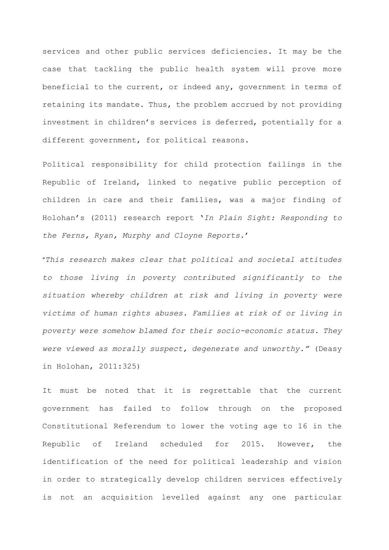services and other public services deficiencies. It may be the case that tackling the public health system will prove more beneficial to the current, or indeed any, government in terms of retaining its mandate. Thus, the problem accrued by not providing investment in children's services is deferred, potentially for a different government, for political reasons.

Political responsibility for child protection failings in the Republic of Ireland, linked to negative public perception of children in care and their families, was a major finding of Holohan's (2011) research report '*In Plain Sight: Responding to the Ferns, Ryan, Murphy and Cloyne Reports*.'

"*This research makes clear that political and societal attitudes to those living in poverty contributed significantly to the situation whereby children at risk and living in poverty were victims of human rights abuses. Families at risk of or living in poverty were somehow blamed for their socio-economic status. They were viewed as morally suspect, degenerate and unworthy."* (Deasy in Holohan, 2011:325)

It must be noted that it is regrettable that the current government has failed to follow through on the proposed Constitutional Referendum to lower the voting age to 16 in the Republic of Ireland scheduled for 2015. However, the identification of the need for political leadership and vision in order to strategically develop children services effectively is not an acquisition levelled against any one particular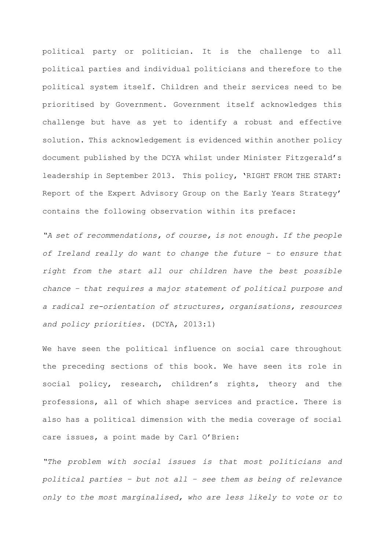political party or politician. It is the challenge to all political parties and individual politicians and therefore to the political system itself. Children and their services need to be prioritised by Government. Government itself acknowledges this challenge but have as yet to identify a robust and effective solution. This acknowledgement is evidenced within another policy document published by the DCYA whilst under Minister Fitzgerald's leadership in September 2013. This policy, 'RIGHT FROM THE START: Report of the Expert Advisory Group on the Early Years Strategy' contains the following observation within its preface:

*"A set of recommendations, of course, is not enough. If the people of Ireland really do want to change the future – to ensure that right from the start all our children have the best possible chance – that requires a major statement of political purpose and a radical re-orientation of structures, organisations, resources and policy priorities.* (DCYA, 2013:1)

We have seen the political influence on social care throughout the preceding sections of this book. We have seen its role in social policy, research, children's rights, theory and the professions, all of which shape services and practice. There is also has a political dimension with the media coverage of social care issues, a point made by Carl O'Brien:

*"The problem with social issues is that most politicians and political parties – but not all – see them as being of relevance only to the most marginalised, who are less likely to vote or to*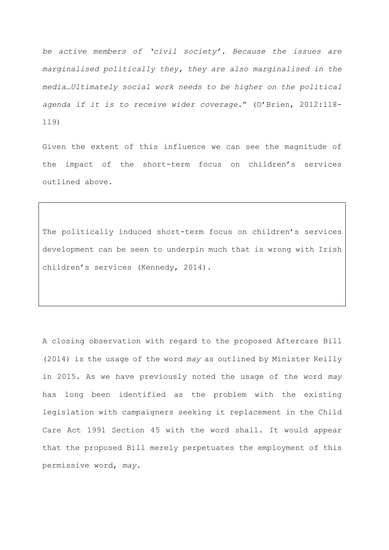*be active members of 'civil society'. Because the issues are marginalised politically they, they are also marginalised in the media…Ultimately social work needs to be higher on the political agenda if it is to receive wider coverage.*" (O'Brien, 2012:118- 119)

Given the extent of this influence we can see the magnitude of the impact of the short-term focus on children's services outlined above.

The politically induced short-term focus on children's services development can be seen to underpin much that is wrong with Irish children's services (Kennedy, 2014).

A closing observation with regard to the proposed Aftercare Bill (2014) is the usage of the word *may* as outlined by Minister Reilly in 2015. As we have previously noted the usage of the word *may* has long been identified as the problem with the existing legislation with campaigners seeking it replacement in the Child Care Act 1991 Section 45 with the word shall. It would appear that the proposed Bill merely perpetuates the employment of this permissive word, *may*.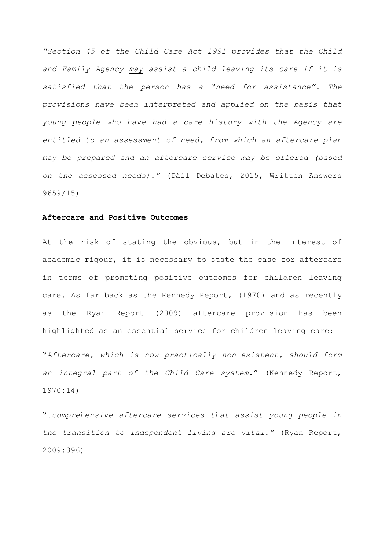*"Section 45 of the Child Care Act 1991 provides that the Child and Family Agency may assist a child leaving its care if it is satisfied that the person has a "need for assistance". The provisions have been interpreted and applied on the basis that young people who have had a care history with the Agency are entitled to an assessment of need, from which an aftercare plan may be prepared and an aftercare service may be offered (based on the assessed needs)."* (Dáil Debates, 2015, Written Answers 9659/15)

## **Aftercare and Positive Outcomes**

At the risk of stating the obvious, but in the interest of academic rigour, it is necessary to state the case for aftercare in terms of promoting positive outcomes for children leaving care. As far back as the Kennedy Report, (1970) and as recently as the Ryan Report (2009) aftercare provision has been highlighted as an essential service for children leaving care:

"*Aftercare, which is now practically non-existent, should form an integral part of the Child Care system.*" (Kennedy Report, 1970:14)

"…*comprehensive aftercare services that assist young people in the transition to independent living are vital."* (Ryan Report, 2009:396)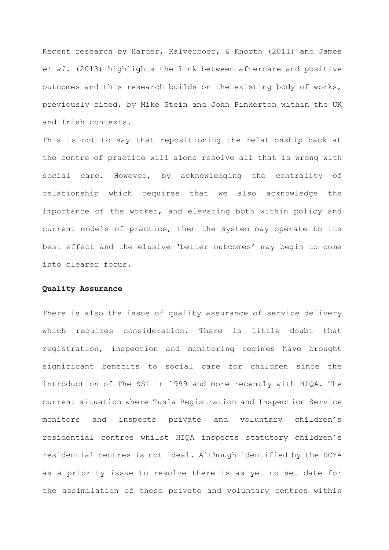Recent research by Harder, Kalverboer, & Knorth (2011) and James *et al*. (2013) highlights the link between aftercare and positive outcomes and this research builds on the existing body of works, previously cited, by Mike Stein and John Pinkerton within the UK and Irish contexts.

This is not to say that repositioning the relationship back at the centre of practice will alone resolve all that is wrong with social care. However, by acknowledging the centrality of relationship which requires that we also acknowledge the importance of the worker, and elevating both within policy and current models of practice, then the system may operate to its best effect and the elusive 'better outcomes' may begin to come into clearer focus.

## **Quality Assurance**

There is also the issue of quality assurance of service delivery which requires consideration. There is little doubt that registration, inspection and monitoring regimes have brought significant benefits to social care for children since the introduction of The SSI in 1999 and more recently with HIQA. The current situation where Tusla Registration and Inspection Service monitors and inspects private and voluntary children's residential centres whilst HIQA inspects statutory children's residential centres is not ideal. Although identified by the DCYA as a priority issue to resolve there is as yet no set date for the assimilation of these private and voluntary centres within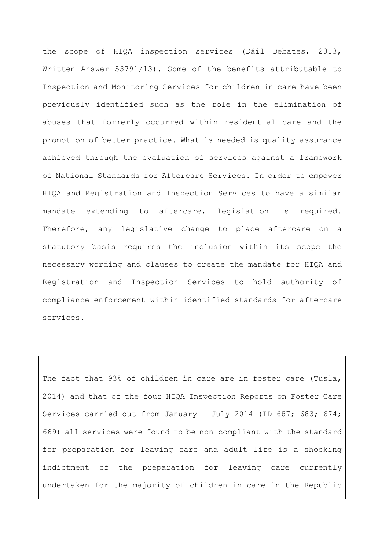the scope of HIQA inspection services (Dáil Debates, 2013, Written Answer 53791/13). Some of the benefits attributable to Inspection and Monitoring Services for children in care have been previously identified such as the role in the elimination of abuses that formerly occurred within residential care and the promotion of better practice. What is needed is quality assurance achieved through the evaluation of services against a framework of National Standards for Aftercare Services. In order to empower HIQA and Registration and Inspection Services to have a similar mandate extending to aftercare, legislation is required. Therefore, any legislative change to place aftercare on a statutory basis requires the inclusion within its scope the necessary wording and clauses to create the mandate for HIQA and Registration and Inspection Services to hold authority of compliance enforcement within identified standards for aftercare services.

The fact that 93% of children in care are in foster care (Tusla, 2014) and that of the four HIQA Inspection Reports on Foster Care Services carried out from January - July 2014 (ID 687; 683; 674; 669) all services were found to be non-compliant with the standard for preparation for leaving care and adult life is a shocking indictment of the preparation for leaving care currently undertaken for the majority of children in care in the Republic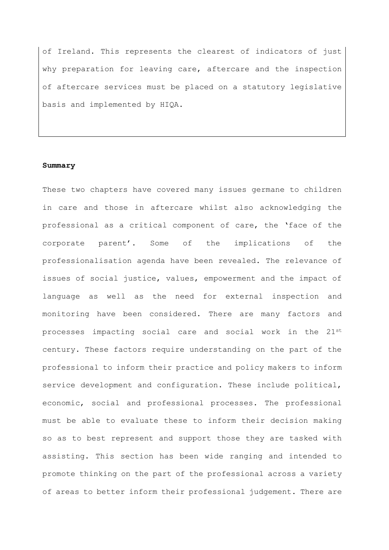of Ireland. This represents the clearest of indicators of just why preparation for leaving care, aftercare and the inspection of aftercare services must be placed on a statutory legislative basis and implemented by HIQA.

## **Summary**

These two chapters have covered many issues germane to children in care and those in aftercare whilst also acknowledging the professional as a critical component of care, the 'face of the corporate parent'. Some of the implications of the professionalisation agenda have been revealed. The relevance of issues of social justice, values, empowerment and the impact of language as well as the need for external inspection and monitoring have been considered. There are many factors and processes impacting social care and social work in the 21st century. These factors require understanding on the part of the professional to inform their practice and policy makers to inform service development and configuration. These include political, economic, social and professional processes. The professional must be able to evaluate these to inform their decision making so as to best represent and support those they are tasked with assisting. This section has been wide ranging and intended to promote thinking on the part of the professional across a variety of areas to better inform their professional judgement. There are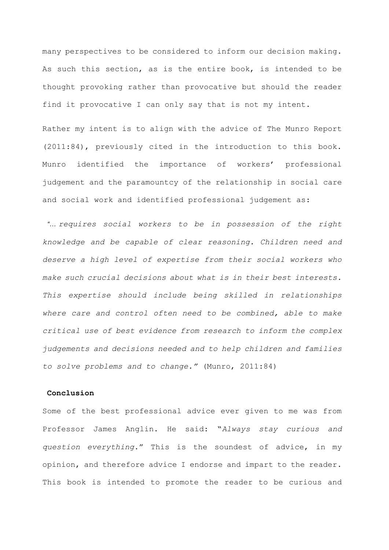many perspectives to be considered to inform our decision making. As such this section, as is the entire book, is intended to be thought provoking rather than provocative but should the reader find it provocative I can only say that is not my intent.

Rather my intent is to align with the advice of The Munro Report (2011:84), previously cited in the introduction to this book. Munro identified the importance of workers' professional judgement and the paramountcy of the relationship in social care and social work and identified professional judgement as:

*"… requires social workers to be in possession of the right knowledge and be capable of clear reasoning. Children need and deserve a high level of expertise from their social workers who make such crucial decisions about what is in their best interests. This expertise should include being skilled in relationships where care and control often need to be combined, able to make critical use of best evidence from research to inform the complex judgements and decisions needed and to help children and families to solve problems and to change."* (Munro, 2011:84)

## **Conclusion**

Some of the best professional advice ever given to me was from Professor James Anglin. He said: "*Always stay curious and question everything*." This is the soundest of advice, in my opinion, and therefore advice I endorse and impart to the reader. This book is intended to promote the reader to be curious and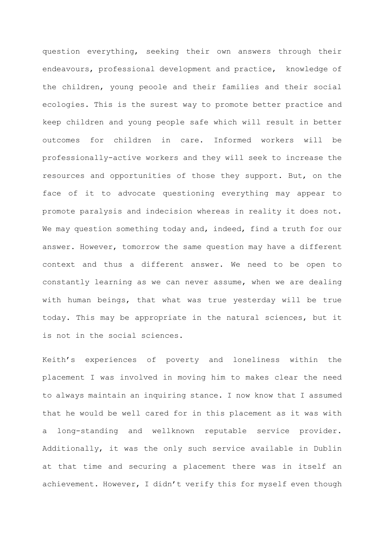question everything, seeking their own answers through their endeavours, professional development and practice, knowledge of the children, young peoole and their families and their social ecologies. This is the surest way to promote better practice and keep children and young people safe which will result in better outcomes for children in care. Informed workers will be professionally-active workers and they will seek to increase the resources and opportunities of those they support. But, on the face of it to advocate questioning everything may appear to promote paralysis and indecision whereas in reality it does not. We may question something today and, indeed, find a truth for our answer. However, tomorrow the same question may have a different context and thus a different answer. We need to be open to constantly learning as we can never assume, when we are dealing with human beings, that what was true yesterday will be true today. This may be appropriate in the natural sciences, but it is not in the social sciences.

Keith's experiences of poverty and loneliness within the placement I was involved in moving him to makes clear the need to always maintain an inquiring stance. I now know that I assumed that he would be well cared for in this placement as it was with a long-standing and wellknown reputable service provider. Additionally, it was the only such service available in Dublin at that time and securing a placement there was in itself an achievement. However, I didn't verify this for myself even though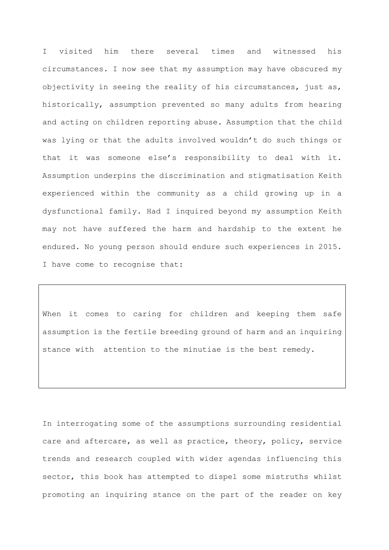I visited him there several times and witnessed his circumstances. I now see that my assumption may have obscured my objectivity in seeing the reality of his circumstances, just as, historically, assumption prevented so many adults from hearing and acting on children reporting abuse. Assumption that the child was lying or that the adults involved wouldn't do such things or that it was someone else's responsibility to deal with it. Assumption underpins the discrimination and stigmatisation Keith experienced within the community as a child growing up in a dysfunctional family. Had I inquired beyond my assumption Keith may not have suffered the harm and hardship to the extent he endured. No young person should endure such experiences in 2015. I have come to recognise that:

When it comes to caring for children and keeping them safe assumption is the fertile breeding ground of harm and an inquiring stance with attention to the minutiae is the best remedy.

In interrogating some of the assumptions surrounding residential care and aftercare, as well as practice, theory, policy, service trends and research coupled with wider agendas influencing this sector, this book has attempted to dispel some mistruths whilst promoting an inquiring stance on the part of the reader on key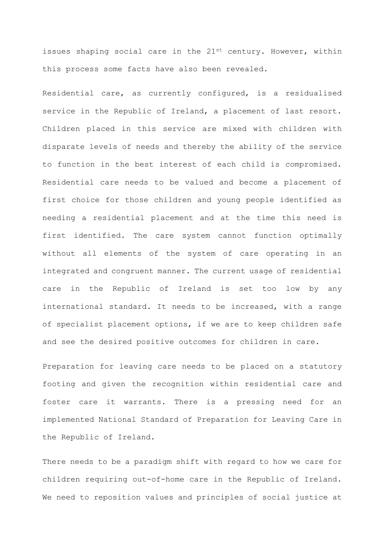issues shaping social care in the  $21^{st}$  century. However, within this process some facts have also been revealed.

Residential care, as currently configured, is a residualised service in the Republic of Ireland, a placement of last resort. Children placed in this service are mixed with children with disparate levels of needs and thereby the ability of the service to function in the best interest of each child is compromised. Residential care needs to be valued and become a placement of first choice for those children and young people identified as needing a residential placement and at the time this need is first identified. The care system cannot function optimally without all elements of the system of care operating in an integrated and congruent manner. The current usage of residential care in the Republic of Ireland is set too low by any international standard. It needs to be increased, with a range of specialist placement options, if we are to keep children safe and see the desired positive outcomes for children in care.

Preparation for leaving care needs to be placed on a statutory footing and given the recognition within residential care and foster care it warrants. There is a pressing need for an implemented National Standard of Preparation for Leaving Care in the Republic of Ireland.

There needs to be a paradigm shift with regard to how we care for children requiring out-of-home care in the Republic of Ireland. We need to reposition values and principles of social justice at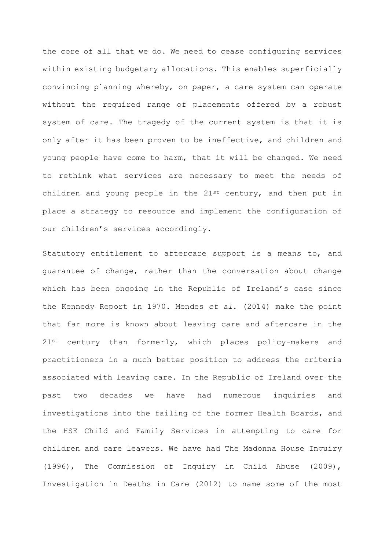the core of all that we do. We need to cease configuring services within existing budgetary allocations. This enables superficially convincing planning whereby, on paper, a care system can operate without the required range of placements offered by a robust system of care. The tragedy of the current system is that it is only after it has been proven to be ineffective, and children and young people have come to harm, that it will be changed. We need to rethink what services are necessary to meet the needs of children and young people in the  $21^{st}$  century, and then put in place a strategy to resource and implement the configuration of our children's services accordingly.

Statutory entitlement to aftercare support is a means to, and guarantee of change, rather than the conversation about change which has been ongoing in the Republic of Ireland's case since the Kennedy Report in 1970. Mendes *et al*. (2014) make the point that far more is known about leaving care and aftercare in the 21st century than formerly, which places policy-makers and practitioners in a much better position to address the criteria associated with leaving care. In the Republic of Ireland over the past two decades we have had numerous inquiries and investigations into the failing of the former Health Boards, and the HSE Child and Family Services in attempting to care for children and care leavers. We have had The Madonna House Inquiry (1996), The Commission of Inquiry in Child Abuse (2009), Investigation in Deaths in Care (2012) to name some of the most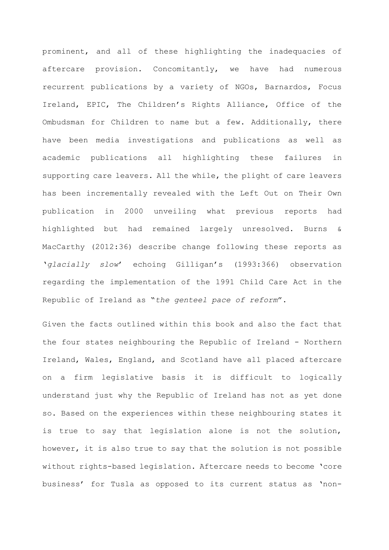prominent, and all of these highlighting the inadequacies of aftercare provision. Concomitantly, we have had numerous recurrent publications by a variety of NGOs, Barnardos, Focus Ireland, EPIC, The Children's Rights Alliance, Office of the Ombudsman for Children to name but a few. Additionally, there have been media investigations and publications as well as academic publications all highlighting these failures in supporting care leavers. All the while, the plight of care leavers has been incrementally revealed with the Left Out on Their Own publication in 2000 unveiling what previous reports had highlighted but had remained largely unresolved. Burns & MacCarthy (2012:36) describe change following these reports as '*glacially slow*' echoing Gilligan's (1993:366) observation regarding the implementation of the 1991 Child Care Act in the Republic of Ireland as "*the genteel pace of reform*".

Given the facts outlined within this book and also the fact that the four states neighbouring the Republic of Ireland - Northern Ireland, Wales, England, and Scotland have all placed aftercare on a firm legislative basis it is difficult to logically understand just why the Republic of Ireland has not as yet done so. Based on the experiences within these neighbouring states it is true to say that legislation alone is not the solution, however, it is also true to say that the solution is not possible without rights-based legislation. Aftercare needs to become 'core business' for Tusla as opposed to its current status as 'non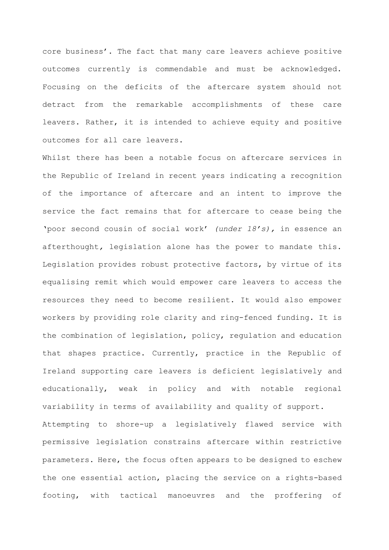core business'. The fact that many care leavers achieve positive outcomes currently is commendable and must be acknowledged. Focusing on the deficits of the aftercare system should not detract from the remarkable accomplishments of these care leavers. Rather, it is intended to achieve equity and positive outcomes for all care leavers.

Whilst there has been a notable focus on aftercare services in the Republic of Ireland in recent years indicating a recognition of the importance of aftercare and an intent to improve the service the fact remains that for aftercare to cease being the 'poor second cousin of social work' *(under 18's),* in essence an afterthought*,* legislation alone has the power to mandate this. Legislation provides robust protective factors, by virtue of its equalising remit which would empower care leavers to access the resources they need to become resilient. It would also empower workers by providing role clarity and ring-fenced funding. It is the combination of legislation, policy, regulation and education that shapes practice. Currently, practice in the Republic of Ireland supporting care leavers is deficient legislatively and educationally, weak in policy and with notable regional variability in terms of availability and quality of support. Attempting to shore-up a legislatively flawed service with permissive legislation constrains aftercare within restrictive parameters. Here, the focus often appears to be designed to eschew the one essential action, placing the service on a rights-based

footing, with tactical manoeuvres and the proffering of